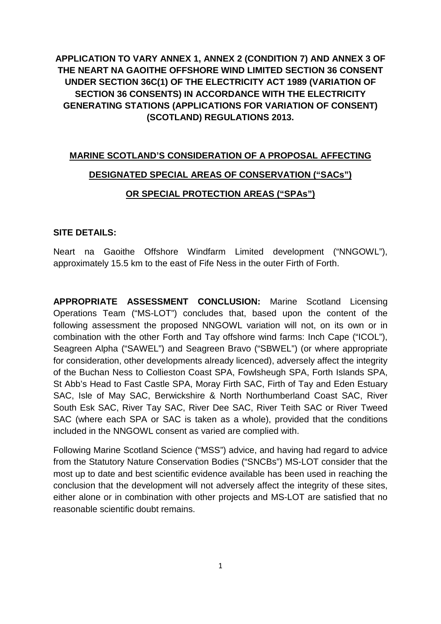**APPLICATION TO VARY ANNEX 1, ANNEX 2 (CONDITION 7) AND ANNEX 3 OF THE NEART NA GAOITHE OFFSHORE WIND LIMITED SECTION 36 CONSENT UNDER SECTION 36C(1) OF THE ELECTRICITY ACT 1989 (VARIATION OF SECTION 36 CONSENTS) IN ACCORDANCE WITH THE ELECTRICITY GENERATING STATIONS (APPLICATIONS FOR VARIATION OF CONSENT) (SCOTLAND) REGULATIONS 2013.**

# **MARINE SCOTLAND'S CONSIDERATION OF A PROPOSAL AFFECTING DESIGNATED SPECIAL AREAS OF CONSERVATION ("SACs") OR SPECIAL PROTECTION AREAS ("SPAs")**

#### **SITE DETAILS:**

Neart na Gaoithe Offshore Windfarm Limited development ("NNGOWL"), approximately 15.5 km to the east of Fife Ness in the outer Firth of Forth.

**APPROPRIATE ASSESSMENT CONCLUSION:** Marine Scotland Licensing Operations Team ("MS-LOT") concludes that, based upon the content of the following assessment the proposed NNGOWL variation will not, on its own or in combination with the other Forth and Tay offshore wind farms: Inch Cape ("ICOL"), Seagreen Alpha ("SAWEL") and Seagreen Bravo ("SBWEL") (or where appropriate for consideration, other developments already licenced), adversely affect the integrity of the Buchan Ness to Collieston Coast SPA, Fowlsheugh SPA, Forth Islands SPA, St Abb's Head to Fast Castle SPA, Moray Firth SAC, Firth of Tay and Eden Estuary SAC, Isle of May SAC, Berwickshire & North Northumberland Coast SAC, River South Esk SAC, River Tay SAC, River Dee SAC, River Teith SAC or River Tweed SAC (where each SPA or SAC is taken as a whole), provided that the conditions included in the NNGOWL consent as varied are complied with.

<span id="page-0-0"></span>Following Marine Scotland Science ("MSS") advice, and having had regard to advice from the Statutory Nature Conservation Bodies ("SNCBs") MS-LOT consider that the most up to date and best scientific evidence available has been used in reaching the conclusion that the development will not adversely affect the integrity of these sites, either alone or in combination with other projects and MS-LOT are satisfied that no reasonable scientific doubt remains.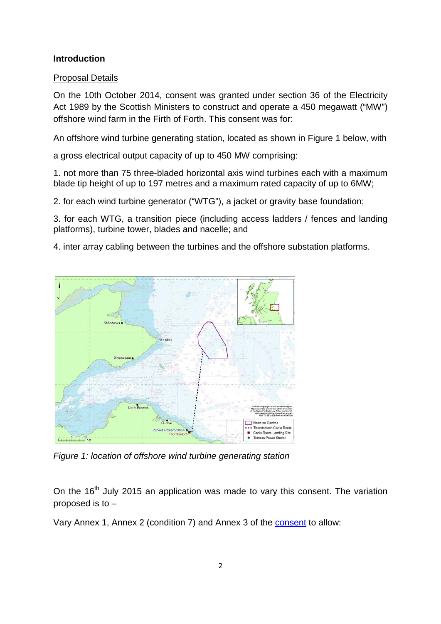## **Introduction**

# Proposal Details

On the 10th October 2014, consent was granted under section 36 of the Electricity Act 1989 by the Scottish Ministers to construct and operate a 450 megawatt ("MW") offshore wind farm in the Firth of Forth. This consent was for:

An offshore wind turbine generating station, located as shown in Figure 1 below, with

a gross electrical output capacity of up to 450 MW comprising:

1. not more than 75 three-bladed horizontal axis wind turbines each with a maximum blade tip height of up to 197 metres and a maximum rated capacity of up to 6MW;

2. for each wind turbine generator ("WTG"), a jacket or gravity base foundation;

3. for each WTG, a transition piece (including access ladders / fences and landing platforms), turbine tower, blades and nacelle; and

4. inter array cabling between the turbines and the offshore substation platforms.



*Figure 1: location of offshore wind turbine generating station*

On the  $16<sup>th</sup>$  July 2015 an application was made to vary this consent. The variation proposed is to –

Vary Annex 1, Annex 2 (condition 7) and Annex 3 of the [consent](http://www.gov.scot/Resource/0046/00460581.pdf) to allow: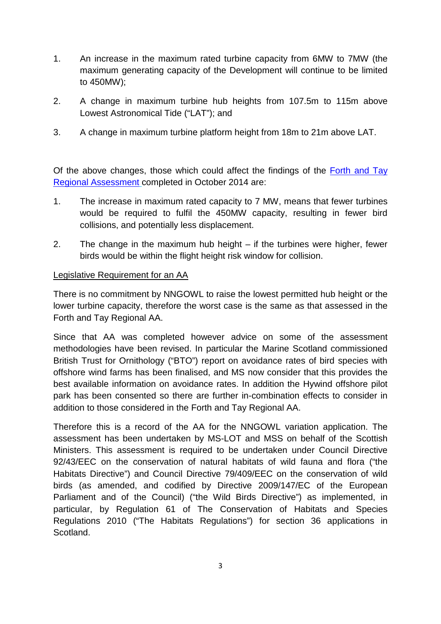- 1. An increase in the maximum rated turbine capacity from 6MW to 7MW (the maximum generating capacity of the Development will continue to be limited to 450MW);
- 2. A change in maximum turbine hub heights from 107.5m to 115m above Lowest Astronomical Tide ("LAT"); and
- 3. A change in maximum turbine platform height from 18m to 21m above LAT.

Of the above changes, those which could affect the findings of the [Forth and Tay](http://www.gov.scot/Resource/0047/00470046.pdfhttp:/www.gov.scot/Resource/0047/00470046.pdf)  [Regional Assessment](http://www.gov.scot/Resource/0047/00470046.pdfhttp:/www.gov.scot/Resource/0047/00470046.pdf) completed in October 2014 are:

- 1. The increase in maximum rated capacity to 7 MW, means that fewer turbines would be required to fulfil the 450MW capacity, resulting in fewer bird collisions, and potentially less displacement.
- 2. The change in the maximum hub height if the turbines were higher, fewer birds would be within the flight height risk window for collision.

# Legislative Requirement for an AA

There is no commitment by NNGOWL to raise the lowest permitted hub height or the lower turbine capacity, therefore the worst case is the same as that assessed in the Forth and Tay Regional AA.

Since that AA was completed however advice on some of the assessment methodologies have been revised. In particular the Marine Scotland commissioned British Trust for Ornithology ("BTO") report on avoidance rates of bird species with offshore wind farms has been finalised, and MS now consider that this provides the best available information on avoidance rates. In addition the Hywind offshore pilot park has been consented so there are further in-combination effects to consider in addition to those considered in the Forth and Tay Regional AA.

Therefore this is a record of the AA for the NNGOWL variation application. The assessment has been undertaken by MS-LOT and MSS on behalf of the Scottish Ministers. This assessment is required to be undertaken under Council Directive 92/43/EEC on the conservation of natural habitats of wild fauna and flora ("the Habitats Directive") and Council Directive 79/409/EEC on the conservation of wild birds (as amended, and codified by Directive 2009/147/EC of the European Parliament and of the Council) ("the Wild Birds Directive") as implemented, in particular, by Regulation 61 of The Conservation of Habitats and Species Regulations 2010 ("The Habitats Regulations") for section 36 applications in Scotland.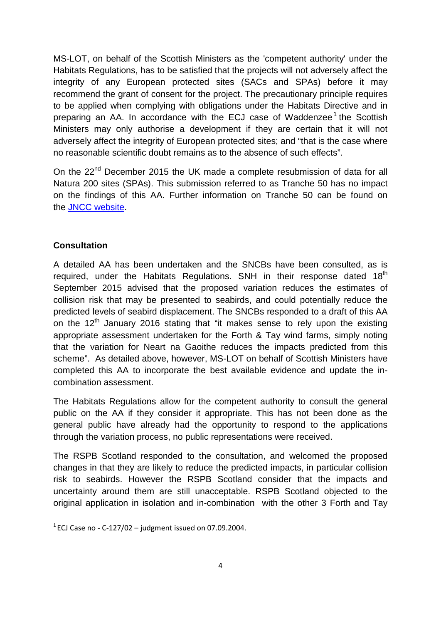MS-LOT, on behalf of the Scottish Ministers as the 'competent authority' under the Habitats Regulations, has to be satisfied that the projects will not adversely affect the integrity of any European protected sites (SACs and SPAs) before it may recommend the grant of consent for the project. The precautionary principle requires to be applied when complying with obligations under the Habitats Directive and in preparing an AA. In accordance with the ECJ case of Waddenzee<sup>[1](#page-0-0)</sup> the Scottish Ministers may only authorise a development if they are certain that it will not adversely affect the integrity of European protected sites; and "that is the case where no reasonable scientific doubt remains as to the absence of such effects".

On the 22<sup>nd</sup> December 2015 the UK made a complete resubmission of data for all Natura 200 sites (SPAs). This submission referred to as Tranche 50 has no impact on the findings of this AA. Further information on Tranche 50 can be found on the [JNCC website.](http://jncc.defra.gov.uk/page-3517)

# **Consultation**

A detailed AA has been undertaken and the SNCBs have been consulted, as is required, under the Habitats Regulations. SNH in their response dated 18<sup>th</sup> September 2015 advised that the proposed variation reduces the estimates of collision risk that may be presented to seabirds, and could potentially reduce the predicted levels of seabird displacement. The SNCBs responded to a draft of this AA on the  $12<sup>th</sup>$  January 2016 stating that "it makes sense to rely upon the existing appropriate assessment undertaken for the Forth & Tay wind farms, simply noting that the variation for Neart na Gaoithe reduces the impacts predicted from this scheme". As detailed above, however, MS-LOT on behalf of Scottish Ministers have completed this AA to incorporate the best available evidence and update the incombination assessment.

The Habitats Regulations allow for the competent authority to consult the general public on the AA if they consider it appropriate. This has not been done as the general public have already had the opportunity to respond to the applications through the variation process, no public representations were received.

<span id="page-3-0"></span>The RSPB Scotland responded to the consultation, and welcomed the proposed changes in that they are likely to reduce the predicted impacts, in particular collision risk to seabirds. However the RSPB Scotland consider that the impacts and uncertainty around them are still unacceptable. RSPB Scotland objected to the original application in isolation and in-combination with the other 3 Forth and Tay

 $1$  ECJ Case no - C-127/02 – judgment issued on 07.09.2004.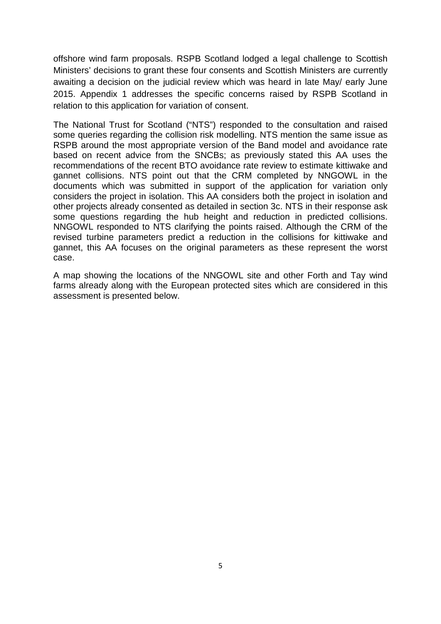offshore wind farm proposals. RSPB Scotland lodged a legal challenge to Scottish Ministers' decisions to grant these four consents and Scottish Ministers are currently awaiting a decision on the judicial review which was heard in late May/ early June 2015. Appendix 1 addresses the specific concerns raised by RSPB Scotland in relation to this application for variation of consent.

The National Trust for Scotland ("NTS") responded to the consultation and raised some queries regarding the collision risk modelling. NTS mention the same issue as RSPB around the most appropriate version of the Band model and avoidance rate based on recent advice from the SNCBs; as previously stated this AA uses the recommendations of the recent BTO avoidance rate review to estimate kittiwake and gannet collisions. NTS point out that the CRM completed by NNGOWL in the documents which was submitted in support of the application for variation only considers the project in isolation. This AA considers both the project in isolation and other projects already consented as detailed in section 3c. NTS in their response ask some questions regarding the hub height and reduction in predicted collisions. NNGOWL responded to NTS clarifying the points raised. Although the CRM of the revised turbine parameters predict a reduction in the collisions for kittiwake and gannet, this AA focuses on the original parameters as these represent the worst case.

A map showing the locations of the NNGOWL site and other Forth and Tay wind farms already along with the European protected sites which are considered in this assessment is presented below.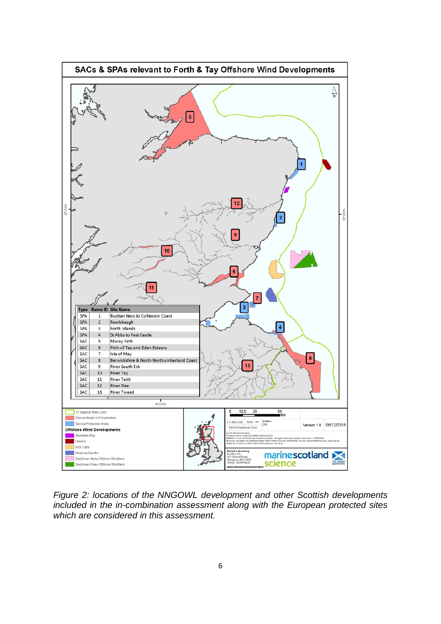

*Figure 2: locations of the NNGOWL development and other Scottish developments included in the in-combination assessment along with the European protected sites which are considered in this assessment.*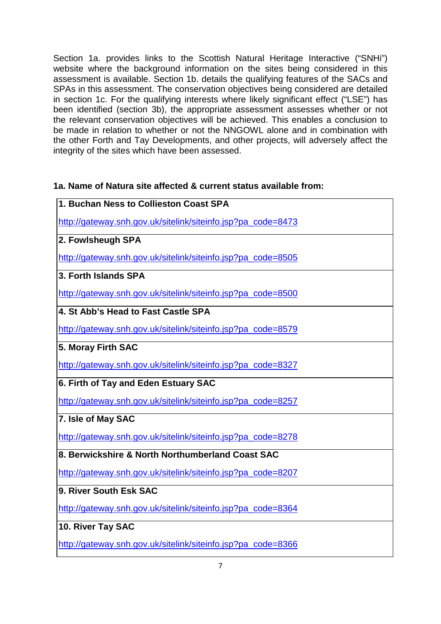Section 1a. provides links to the Scottish Natural Heritage Interactive ("SNHi") website where the background information on the sites being considered in this assessment is available. Section 1b. details the qualifying features of the SACs and SPAs in this assessment. The conservation objectives being considered are detailed in section 1c. For the qualifying interests where likely significant effect ("LSE") has been identified (section 3b), the appropriate assessment assesses whether or not the relevant conservation objectives will be achieved. This enables a conclusion to be made in relation to whether or not the NNGOWL alone and in combination with the other Forth and Tay Developments, and other projects, will adversely affect the integrity of the sites which have been assessed.

# **1a. Name of Natura site affected & current status available from:**

| 1. Buchan Ness to Collieston Coast SPA                       |
|--------------------------------------------------------------|
| http://gateway.snh.gov.uk/sitelink/siteinfo.jsp?pa_code=8473 |
| 2. Fowlsheugh SPA                                            |
| http://gateway.snh.gov.uk/sitelink/siteinfo.jsp?pa_code=8505 |
| 3. Forth Islands SPA                                         |
| http://gateway.snh.gov.uk/sitelink/siteinfo.jsp?pa_code=8500 |
| 4. St Abb's Head to Fast Castle SPA                          |
| http://gateway.snh.gov.uk/sitelink/siteinfo.jsp?pa_code=8579 |
| 5. Moray Firth SAC                                           |
| http://gateway.snh.gov.uk/sitelink/siteinfo.jsp?pa_code=8327 |
| 6. Firth of Tay and Eden Estuary SAC                         |
| http://gateway.snh.gov.uk/sitelink/siteinfo.jsp?pa_code=8257 |
| 7. Isle of May SAC                                           |
| http://gateway.snh.gov.uk/sitelink/siteinfo.jsp?pa_code=8278 |
| 8. Berwickshire & North Northumberland Coast SAC             |
| http://gateway.snh.gov.uk/sitelink/siteinfo.jsp?pa_code=8207 |
| 9. River South Esk SAC                                       |
| http://gateway.snh.gov.uk/sitelink/siteinfo.jsp?pa_code=8364 |
| 10. River Tay SAC                                            |
| http://gateway.snh.gov.uk/sitelink/siteinfo.jsp?pa_code=8366 |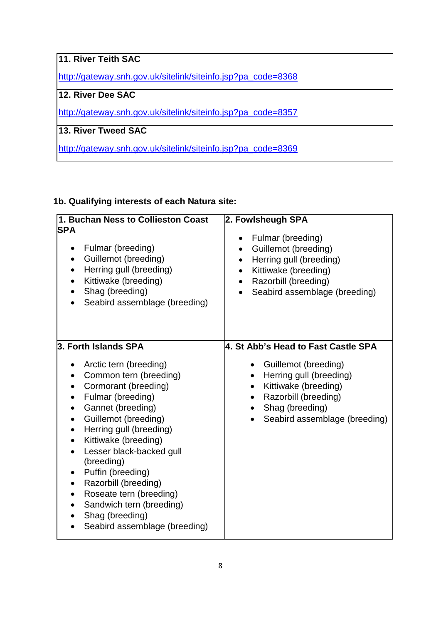| 11. River Teith SAC                                          |
|--------------------------------------------------------------|
| http://gateway.snh.gov.uk/sitelink/siteinfo.jsp?pa_code=8368 |
| 12. River Dee SAC                                            |
| http://gateway.snh.gov.uk/sitelink/siteinfo.jsp?pa_code=8357 |
| 13. River Tweed SAC                                          |
| http://gateway.snh.gov.uk/sitelink/siteinfo.jsp?pa_code=8369 |

# **1b. Qualifying interests of each Natura site:**

| 1. Buchan Ness to Collieston Coast<br><b>SPA</b><br>Fulmar (breeding)<br>$\bullet$<br>Guillemot (breeding)<br>$\bullet$<br>Herring gull (breeding)<br>Kittiwake (breeding)<br>Shag (breeding)<br>Seabird assemblage (breeding)                                                                                                                                                                                                                    | 2. Fowlsheugh SPA<br>Fulmar (breeding)<br>Guillemot (breeding)<br>$\bullet$<br>Herring gull (breeding)<br>$\bullet$<br>Kittiwake (breeding)<br>Razorbill (breeding)<br>$\bullet$<br>Seabird assemblage (breeding)<br>$\bullet$ |
|---------------------------------------------------------------------------------------------------------------------------------------------------------------------------------------------------------------------------------------------------------------------------------------------------------------------------------------------------------------------------------------------------------------------------------------------------|--------------------------------------------------------------------------------------------------------------------------------------------------------------------------------------------------------------------------------|
| 3. Forth Islands SPA<br>Arctic tern (breeding)<br>Common tern (breeding)<br>Cormorant (breeding)<br>Fulmar (breeding)<br>Gannet (breeding)<br>Guillemot (breeding)<br>Herring gull (breeding)<br>$\bullet$<br>Kittiwake (breeding)<br>Lesser black-backed gull<br>(breeding)<br>Puffin (breeding)<br>Razorbill (breeding)<br>$\bullet$<br>Roseate tern (breeding)<br>Sandwich tern (breeding)<br>Shag (breeding)<br>Seabird assemblage (breeding) | 4. St Abb's Head to Fast Castle SPA<br>• Guillemot (breeding)<br>Herring gull (breeding)<br>Kittiwake (breeding)<br>$\bullet$<br>Razorbill (breeding)<br>Shag (breeding)<br>Seabird assemblage (breeding)                      |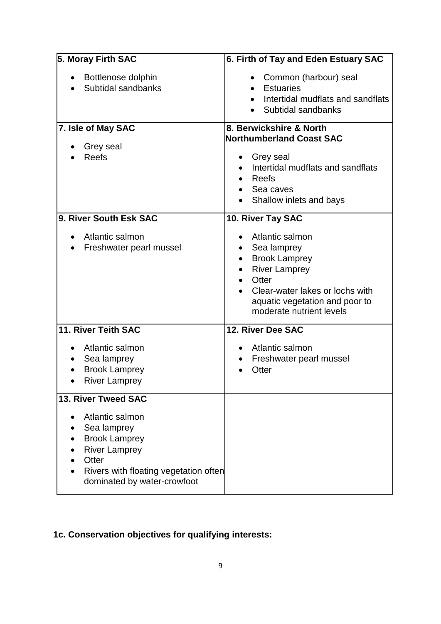| 5. Moray Firth SAC                                                                                                                                              | 6. Firth of Tay and Eden Estuary SAC                                                                                                                                                               |
|-----------------------------------------------------------------------------------------------------------------------------------------------------------------|----------------------------------------------------------------------------------------------------------------------------------------------------------------------------------------------------|
| Bottlenose dolphin<br>Subtidal sandbanks                                                                                                                        | Common (harbour) seal<br>$\bullet$<br><b>Estuaries</b><br>Intertidal mudflats and sandflats<br>Subtidal sandbanks                                                                                  |
| 7. Isle of May SAC<br>Grey seal<br><b>Reefs</b>                                                                                                                 | 8. Berwickshire & North<br>Northumberland Coast SAC<br>Grey seal<br>Intertidal mudflats and sandflats<br><b>Reefs</b><br>Sea caves<br>Shallow inlets and bays                                      |
| 9. River South Esk SAC                                                                                                                                          | 10. River Tay SAC                                                                                                                                                                                  |
| Atlantic salmon<br>Freshwater pearl mussel                                                                                                                      | Atlantic salmon<br>Sea lamprey<br>٠<br><b>Brook Lamprey</b><br>٠<br><b>River Lamprey</b><br>Otter<br>Clear-water lakes or lochs with<br>aquatic vegetation and poor to<br>moderate nutrient levels |
| 11. River Teith SAC                                                                                                                                             | 12. River Dee SAC                                                                                                                                                                                  |
| Atlantic salmon<br>Sea lamprey<br><b>Brook Lamprey</b><br><b>River Lamprey</b>                                                                                  | Atlantic salmon<br>Freshwater pearl mussel<br>Otter                                                                                                                                                |
| 13. River Tweed SAC                                                                                                                                             |                                                                                                                                                                                                    |
| Atlantic salmon<br>Sea lamprey<br><b>Brook Lamprey</b><br><b>River Lamprey</b><br>Otter<br>Rivers with floating vegetation often<br>dominated by water-crowfoot |                                                                                                                                                                                                    |

# **1c. Conservation objectives for qualifying interests:**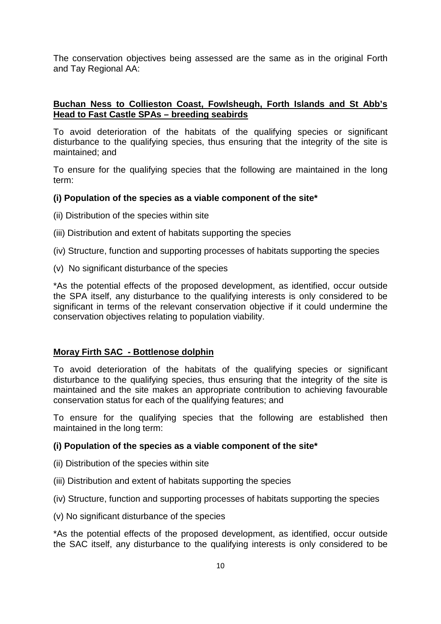The conservation objectives being assessed are the same as in the original Forth and Tay Regional AA:

# **Buchan Ness to Collieston Coast, Fowlsheugh, Forth Islands and St Abb's Head to Fast Castle SPAs – breeding seabirds**

To avoid deterioration of the habitats of the qualifying species or significant disturbance to the qualifying species, thus ensuring that the integrity of the site is maintained; and

To ensure for the qualifying species that the following are maintained in the long term:

#### **(i) Population of the species as a viable component of the site\***

- (ii) Distribution of the species within site
- (iii) Distribution and extent of habitats supporting the species
- (iv) Structure, function and supporting processes of habitats supporting the species
- (v) No significant disturbance of the species

\*As the potential effects of the proposed development, as identified, occur outside the SPA itself, any disturbance to the qualifying interests is only considered to be significant in terms of the relevant conservation objective if it could undermine the conservation objectives relating to population viability.

#### **Moray Firth SAC - Bottlenose dolphin**

To avoid deterioration of the habitats of the qualifying species or significant disturbance to the qualifying species, thus ensuring that the integrity of the site is maintained and the site makes an appropriate contribution to achieving favourable conservation status for each of the qualifying features; and

To ensure for the qualifying species that the following are established then maintained in the long term:

#### **(i) Population of the species as a viable component of the site\***

- (ii) Distribution of the species within site
- (iii) Distribution and extent of habitats supporting the species
- (iv) Structure, function and supporting processes of habitats supporting the species
- (v) No significant disturbance of the species

\*As the potential effects of the proposed development, as identified, occur outside the SAC itself, any disturbance to the qualifying interests is only considered to be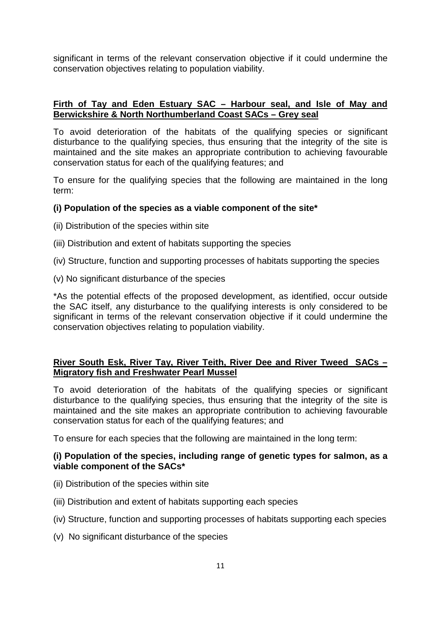significant in terms of the relevant conservation objective if it could undermine the conservation objectives relating to population viability.

# **Firth of Tay and Eden Estuary SAC – Harbour seal, and Isle of May and Berwickshire & North Northumberland Coast SACs – Grey seal**

To avoid deterioration of the habitats of the qualifying species or significant disturbance to the qualifying species, thus ensuring that the integrity of the site is maintained and the site makes an appropriate contribution to achieving favourable conservation status for each of the qualifying features; and

To ensure for the qualifying species that the following are maintained in the long term:

# **(i) Population of the species as a viable component of the site\***

- (ii) Distribution of the species within site
- (iii) Distribution and extent of habitats supporting the species
- (iv) Structure, function and supporting processes of habitats supporting the species
- (v) No significant disturbance of the species

\*As the potential effects of the proposed development, as identified, occur outside the SAC itself, any disturbance to the qualifying interests is only considered to be significant in terms of the relevant conservation objective if it could undermine the conservation objectives relating to population viability.

# **River South Esk, River Tay, River Teith, River Dee and River Tweed SACs – Migratory fish and Freshwater Pearl Mussel**

To avoid deterioration of the habitats of the qualifying species or significant disturbance to the qualifying species, thus ensuring that the integrity of the site is maintained and the site makes an appropriate contribution to achieving favourable conservation status for each of the qualifying features; and

To ensure for each species that the following are maintained in the long term:

# **(i) Population of the species, including range of genetic types for salmon, as a viable component of the SACs\***

- (ii) Distribution of the species within site
- (iii) Distribution and extent of habitats supporting each species
- (iv) Structure, function and supporting processes of habitats supporting each species
- (v) No significant disturbance of the species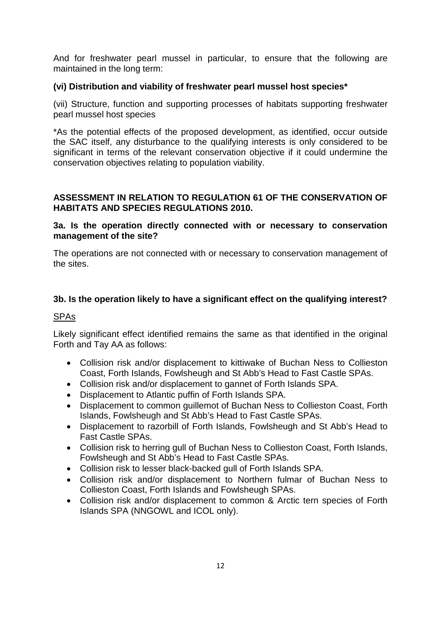And for freshwater pearl mussel in particular, to ensure that the following are maintained in the long term:

# **(vi) Distribution and viability of freshwater pearl mussel host species\***

(vii) Structure, function and supporting processes of habitats supporting freshwater pearl mussel host species

\*As the potential effects of the proposed development, as identified, occur outside the SAC itself, any disturbance to the qualifying interests is only considered to be significant in terms of the relevant conservation objective if it could undermine the conservation objectives relating to population viability.

# **ASSESSMENT IN RELATION TO REGULATION 61 OF THE CONSERVATION OF HABITATS AND SPECIES REGULATIONS 2010.**

#### **3a. Is the operation directly connected with or necessary to conservation management of the site?**

The operations are not connected with or necessary to conservation management of the sites.

# **3b. Is the operation likely to have a significant effect on the qualifying interest?**

#### SPAs

Likely significant effect identified remains the same as that identified in the original Forth and Tay AA as follows:

- Collision risk and/or displacement to kittiwake of Buchan Ness to Collieston Coast, Forth Islands, Fowlsheugh and St Abb's Head to Fast Castle SPAs.
- Collision risk and/or displacement to gannet of Forth Islands SPA.
- Displacement to Atlantic puffin of Forth Islands SPA.
- Displacement to common guillemot of Buchan Ness to Collieston Coast, Forth Islands, Fowlsheugh and St Abb's Head to Fast Castle SPAs.
- Displacement to razorbill of Forth Islands, Fowlsheugh and St Abb's Head to Fast Castle SPAs.
- Collision risk to herring gull of Buchan Ness to Collieston Coast, Forth Islands, Fowlsheugh and St Abb's Head to Fast Castle SPAs.
- Collision risk to lesser black-backed gull of Forth Islands SPA.
- Collision risk and/or displacement to Northern fulmar of Buchan Ness to Collieston Coast, Forth Islands and Fowlsheugh SPAs.
- Collision risk and/or displacement to common & Arctic tern species of Forth Islands SPA (NNGOWL and ICOL only).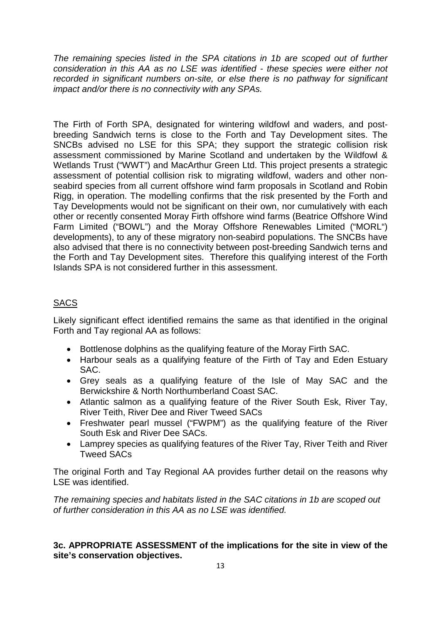*The remaining species listed in the SPA citations in 1b are scoped out of further consideration in this AA as no LSE was identified - these species were either not recorded in significant numbers on-site, or else there is no pathway for significant impact and/or there is no connectivity with any SPAs.*

The Firth of Forth SPA, designated for wintering wildfowl and waders, and postbreeding Sandwich terns is close to the Forth and Tay Development sites. The SNCBs advised no LSE for this SPA; they support the strategic collision risk assessment commissioned by Marine Scotland and undertaken by the Wildfowl & Wetlands Trust ("WWT") and MacArthur Green Ltd. This project presents a strategic assessment of potential collision risk to migrating wildfowl, waders and other nonseabird species from all current offshore wind farm proposals in Scotland and Robin Rigg, in operation. The modelling confirms that the risk presented by the Forth and Tay Developments would not be significant on their own, nor cumulatively with each other or recently consented Moray Firth offshore wind farms (Beatrice Offshore Wind Farm Limited ("BOWL") and the Moray Offshore Renewables Limited ("MORL") developments), to any of these migratory non-seabird populations. The SNCBs have also advised that there is no connectivity between post-breeding Sandwich terns and the Forth and Tay Development sites. Therefore this qualifying interest of the Forth Islands SPA is not considered further in this assessment.

# **SACS**

Likely significant effect identified remains the same as that identified in the original Forth and Tay regional AA as follows:

- Bottlenose dolphins as the qualifying feature of the Moray Firth SAC.
- Harbour seals as a qualifying feature of the Firth of Tay and Eden Estuary SAC.
- Grey seals as a qualifying feature of the Isle of May SAC and the Berwickshire & North Northumberland Coast SAC.
- Atlantic salmon as a qualifying feature of the River South Esk, River Tay, River Teith, River Dee and River Tweed SACs
- Freshwater pearl mussel ("FWPM") as the qualifying feature of the River South Esk and River Dee SACs.
- Lamprey species as qualifying features of the River Tay, River Teith and River Tweed SACs

The original Forth and Tay Regional AA provides further detail on the reasons why LSE was identified.

*The remaining species and habitats listed in the SAC citations in 1b are scoped out of further consideration in this AA as no LSE was identified.* 

# **3c. APPROPRIATE ASSESSMENT of the implications for the site in view of the site's conservation objectives.**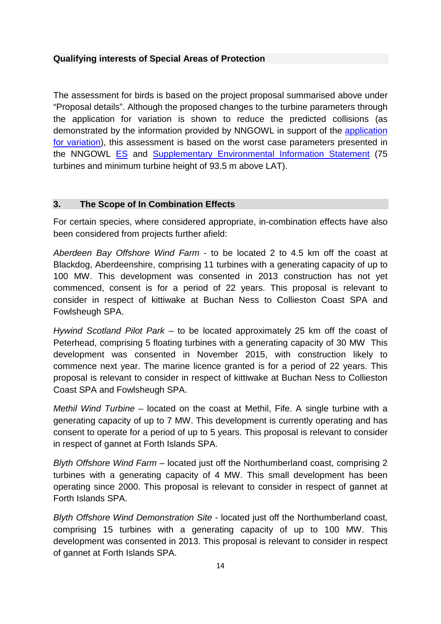# **Qualifying interests of Special Areas of Protection**

The assessment for birds is based on the project proposal summarised above under "Proposal details". Although the proposed changes to the turbine parameters through the application for variation is shown to reduce the predicted collisions (as demonstrated by the information provided by NNGOWL in support of the [application](http://sh45inta/Resource/0049/00491323.pdf) [for variation\)](http://sh45inta/Resource/0049/00491323.pdf), this assessment is based on the worst case parameters presented in the NNGOWL **[ES](http://77.68.107.10/Renewables%20Licensing/MRP_NNG_Offshore_Windfarm/ES/ES%20Chapters/)** and **[Supplementary Environmental Information Statement](http://77.68.107.10/Renewables%20Licensing/MRP_NNG_Offshore_Windfarm/Addendum_of_Supplimentary_Environmental_Information/)** (75 turbines and minimum turbine height of 93.5 m above LAT).

#### **3. The Scope of In Combination Effects**

For certain species, where considered appropriate, in-combination effects have also been considered from projects further afield:

*Aberdeen Bay Offshore Wind Farm* - to be located 2 to 4.5 km off the coast at Blackdog, Aberdeenshire, comprising 11 turbines with a generating capacity of up to 100 MW. This development was consented in 2013 construction has not yet commenced, consent is for a period of 22 years. This proposal is relevant to consider in respect of kittiwake at Buchan Ness to Collieston Coast SPA and Fowlsheugh SPA.

*Hywind Scotland Pilot Park* – to be located approximately 25 km off the coast of Peterhead, comprising 5 floating turbines with a generating capacity of 30 MW This development was consented in November 2015, with construction likely to commence next year. The marine licence granted is for a period of 22 years. This proposal is relevant to consider in respect of kittiwake at Buchan Ness to Collieston Coast SPA and Fowlsheugh SPA.

*Methil Wind Turbine* – located on the coast at Methil, Fife. A single turbine with a generating capacity of up to 7 MW. This development is currently operating and has consent to operate for a period of up to 5 years. This proposal is relevant to consider in respect of gannet at Forth Islands SPA.

*Blyth Offshore Wind Farm* – located just off the Northumberland coast, comprising 2 turbines with a generating capacity of 4 MW. This small development has been operating since 2000. This proposal is relevant to consider in respect of gannet at Forth Islands SPA.

*Blyth Offshore Wind Demonstration Site* - located just off the Northumberland coast, comprising 15 turbines with a generating capacity of up to 100 MW. This development was consented in 2013. This proposal is relevant to consider in respect of gannet at Forth Islands SPA.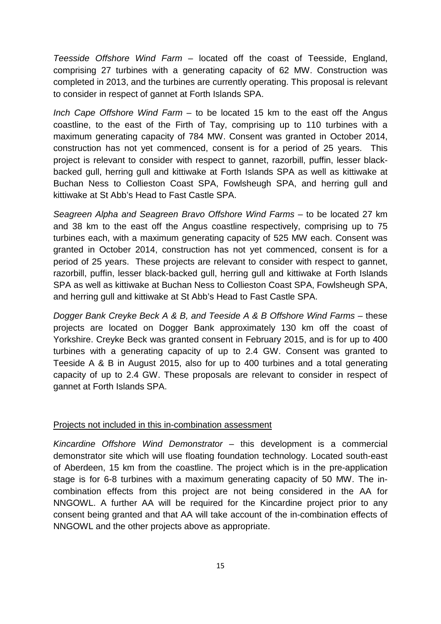*Teesside Offshore Wind Farm* – located off the coast of Teesside, England, comprising 27 turbines with a generating capacity of 62 MW. Construction was completed in 2013, and the turbines are currently operating. This proposal is relevant to consider in respect of gannet at Forth Islands SPA.

*Inch Cape Offshore Wind Farm* – to be located 15 km to the east off the Angus coastline, to the east of the Firth of Tay, comprising up to 110 turbines with a maximum generating capacity of 784 MW. Consent was granted in October 2014, construction has not yet commenced, consent is for a period of 25 years. This project is relevant to consider with respect to gannet, razorbill, puffin, lesser blackbacked gull, herring gull and kittiwake at Forth Islands SPA as well as kittiwake at Buchan Ness to Collieston Coast SPA, Fowlsheugh SPA, and herring gull and kittiwake at St Abb's Head to Fast Castle SPA.

*Seagreen Alpha and Seagreen Bravo Offshore Wind Farms* – to be located 27 km and 38 km to the east off the Angus coastline respectively, comprising up to 75 turbines each, with a maximum generating capacity of 525 MW each. Consent was granted in October 2014, construction has not yet commenced, consent is for a period of 25 years. These projects are relevant to consider with respect to gannet, razorbill, puffin, lesser black-backed gull, herring gull and kittiwake at Forth Islands SPA as well as kittiwake at Buchan Ness to Collieston Coast SPA, Fowlsheugh SPA, and herring gull and kittiwake at St Abb's Head to Fast Castle SPA.

*Dogger Bank Creyke Beck A & B, and Teeside A & B Offshore Wind Farms* – these projects are located on Dogger Bank approximately 130 km off the coast of Yorkshire. Creyke Beck was granted consent in February 2015, and is for up to 400 turbines with a generating capacity of up to 2.4 GW. Consent was granted to Teeside A & B in August 2015, also for up to 400 turbines and a total generating capacity of up to 2.4 GW. These proposals are relevant to consider in respect of gannet at Forth Islands SPA.

#### Projects not included in this in-combination assessment

*Kincardine Offshore Wind Demonstrator* – this development is a commercial demonstrator site which will use floating foundation technology. Located south-east of Aberdeen, 15 km from the coastline. The project which is in the pre-application stage is for 6-8 turbines with a maximum generating capacity of 50 MW. The incombination effects from this project are not being considered in the AA for NNGOWL. A further AA will be required for the Kincardine project prior to any consent being granted and that AA will take account of the in-combination effects of NNGOWL and the other projects above as appropriate.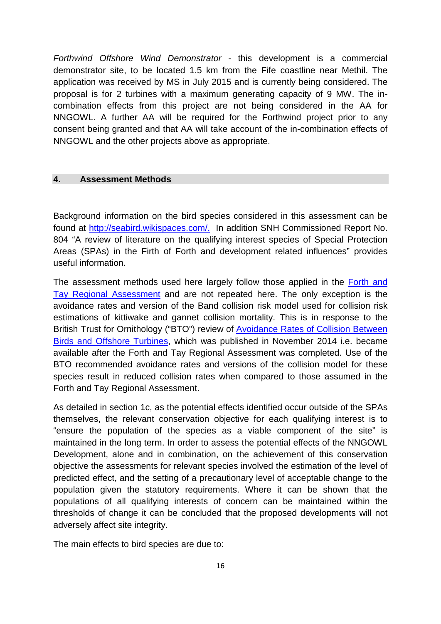*Forthwind Offshore Wind Demonstrator* - this development is a commercial demonstrator site, to be located 1.5 km from the Fife coastline near Methil. The application was received by MS in July 2015 and is currently being considered. The proposal is for 2 turbines with a maximum generating capacity of 9 MW. The incombination effects from this project are not being considered in the AA for NNGOWL. A further AA will be required for the Forthwind project prior to any consent being granted and that AA will take account of the in-combination effects of NNGOWL and the other projects above as appropriate.

#### **4. Assessment Methods**

Background information on the bird species considered in this assessment can be found at [http://seabird.wikispaces.com/.](http://seabird.wikispaces.com/) In addition SNH Commissioned Report No. 804 "A review of literature on the qualifying interest species of Special Protection Areas (SPAs) in the Firth of Forth and development related influences" provides useful information.

The assessment methods used here largely follow those applied in the Forth and [Tay Regional Assessment](http://www.gov.scot/Resource/0046/00460528.pdf) and are not repeated here. The only exception is the avoidance rates and version of the Band collision risk model used for collision risk estimations of kittiwake and gannet collision mortality. This is in response to the British Trust for Ornithology ("BTO") review of [Avoidance Rates of Collision Between](http://www.gov.scot/resource/0046/00464979.pdf)  [Birds and Offshore Turbines,](http://www.gov.scot/resource/0046/00464979.pdf) which was published in November 2014 i.e. became available after the Forth and Tay Regional Assessment was completed. Use of the BTO recommended avoidance rates and versions of the collision model for these species result in reduced collision rates when compared to those assumed in the Forth and Tay Regional Assessment.

As detailed in section 1c, as the potential effects identified occur outside of the SPAs themselves, the relevant conservation objective for each qualifying interest is to "ensure the population of the species as a viable component of the site" is maintained in the long term. In order to assess the potential effects of the NNGOWL Development, alone and in combination, on the achievement of this conservation objective the assessments for relevant species involved the estimation of the level of predicted effect, and the setting of a precautionary level of acceptable change to the population given the statutory requirements. Where it can be shown that the populations of all qualifying interests of concern can be maintained within the thresholds of change it can be concluded that the proposed developments will not adversely affect site integrity.

The main effects to bird species are due to: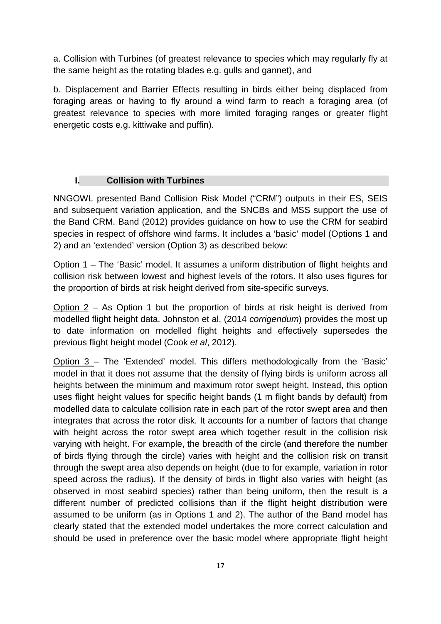a. Collision with Turbines (of greatest relevance to species which may regularly fly at the same height as the rotating blades e.g. gulls and gannet), and

b. Displacement and Barrier Effects resulting in birds either being displaced from foraging areas or having to fly around a wind farm to reach a foraging area (of greatest relevance to species with more limited foraging ranges or greater flight energetic costs e.g. kittiwake and puffin).

# **I. Collision with Turbines**

NNGOWL presented Band Collision Risk Model ("CRM") outputs in their ES, SEIS and subsequent variation application, and the SNCBs and MSS support the use of the Band CRM. Band (2012) provides guidance on how to use the CRM for seabird species in respect of offshore wind farms. It includes a 'basic' model (Options 1 and 2) and an 'extended' version (Option 3) as described below:

Option 1 – The 'Basic' model. It assumes a uniform distribution of flight heights and collision risk between lowest and highest levels of the rotors. It also uses figures for the proportion of birds at risk height derived from site-specific surveys.

Option  $2 - As$  Option 1 but the proportion of birds at risk height is derived from modelled flight height data. Johnston et al, (2014 *corrigendum*) provides the most up to date information on modelled flight heights and effectively supersedes the previous flight height model (Cook *et al*, 2012).

Option 3 – The 'Extended' model. This differs methodologically from the 'Basic' model in that it does not assume that the density of flying birds is uniform across all heights between the minimum and maximum rotor swept height. Instead, this option uses flight height values for specific height bands (1 m flight bands by default) from modelled data to calculate collision rate in each part of the rotor swept area and then integrates that across the rotor disk. It accounts for a number of factors that change with height across the rotor swept area which together result in the collision risk varying with height. For example, the breadth of the circle (and therefore the number of birds flying through the circle) varies with height and the collision risk on transit through the swept area also depends on height (due to for example, variation in rotor speed across the radius). If the density of birds in flight also varies with height (as observed in most seabird species) rather than being uniform, then the result is a different number of predicted collisions than if the flight height distribution were assumed to be uniform (as in Options 1 and 2). The author of the Band model has clearly stated that the extended model undertakes the more correct calculation and should be used in preference over the basic model where appropriate flight height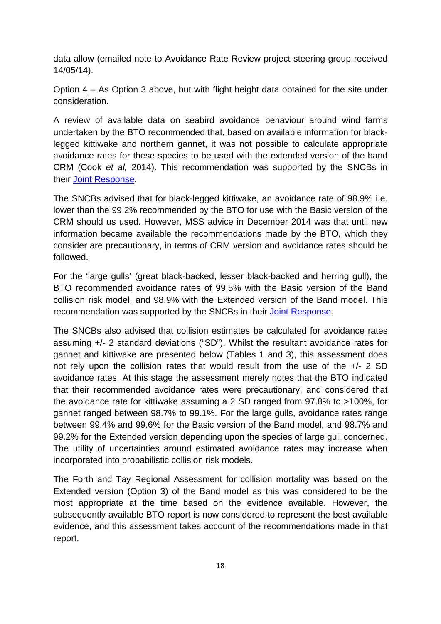data allow (emailed note to Avoidance Rate Review project steering group received 14/05/14).

Option  $4 - As$  Option 3 above, but with flight height data obtained for the site under consideration.

A review of available data on seabird avoidance behaviour around wind farms undertaken by the BTO recommended that, based on available information for blacklegged kittiwake and northern gannet, it was not possible to calculate appropriate avoidance rates for these species to be used with the extended version of the band CRM (Cook *et al,* 2014). This recommendation was supported by the SNCBs in their [Joint Response.](http://www.snh.gov.uk/docs/A1464185.pdf)

The SNCBs advised that for black-legged kittiwake, an avoidance rate of 98.9% i.e. lower than the 99.2% recommended by the BTO for use with the Basic version of the CRM should us used. However, MSS advice in December 2014 was that until new information became available the recommendations made by the BTO, which they consider are precautionary, in terms of CRM version and avoidance rates should be followed.

For the 'large gulls' (great black-backed, lesser black-backed and herring gull), the BTO recommended avoidance rates of 99.5% with the Basic version of the Band collision risk model, and 98.9% with the Extended version of the Band model. This recommendation was supported by the SNCBs in their [Joint Response.](http://www.snh.gov.uk/docs/A1464185.pdf)

The SNCBs also advised that collision estimates be calculated for avoidance rates assuming +/- 2 standard deviations ("SD"). Whilst the resultant avoidance rates for gannet and kittiwake are presented below (Tables 1 and 3), this assessment does not rely upon the collision rates that would result from the use of the +/- 2 SD avoidance rates. At this stage the assessment merely notes that the BTO indicated that their recommended avoidance rates were precautionary, and considered that the avoidance rate for kittiwake assuming a 2 SD ranged from 97.8% to >100%, for gannet ranged between 98.7% to 99.1%. For the large gulls, avoidance rates range between 99.4% and 99.6% for the Basic version of the Band model, and 98.7% and 99.2% for the Extended version depending upon the species of large gull concerned. The utility of uncertainties around estimated avoidance rates may increase when incorporated into probabilistic collision risk models.

The Forth and Tay Regional Assessment for collision mortality was based on the Extended version (Option 3) of the Band model as this was considered to be the most appropriate at the time based on the evidence available. However, the subsequently available BTO report is now considered to represent the best available evidence, and this assessment takes account of the recommendations made in that report.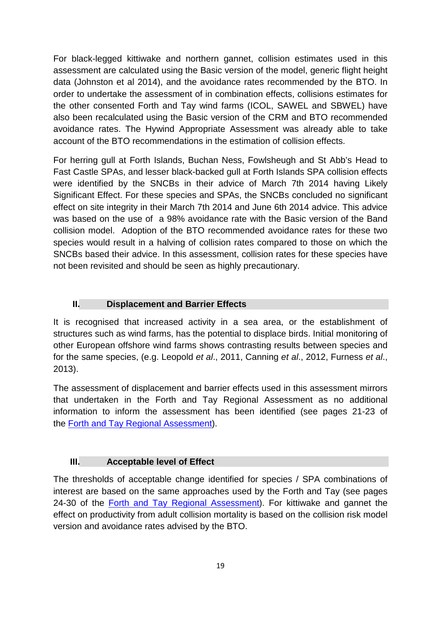For black-legged kittiwake and northern gannet, collision estimates used in this assessment are calculated using the Basic version of the model, generic flight height data (Johnston et al 2014), and the avoidance rates recommended by the BTO. In order to undertake the assessment of in combination effects, collisions estimates for the other consented Forth and Tay wind farms (ICOL, SAWEL and SBWEL) have also been recalculated using the Basic version of the CRM and BTO recommended avoidance rates. The Hywind Appropriate Assessment was already able to take account of the BTO recommendations in the estimation of collision effects.

For herring gull at Forth Islands, Buchan Ness, Fowlsheugh and St Abb's Head to Fast Castle SPAs, and lesser black-backed gull at Forth Islands SPA collision effects were identified by the SNCBs in their advice of March 7th 2014 having Likely Significant Effect. For these species and SPAs, the SNCBs concluded no significant effect on site integrity in their March 7th 2014 and June 6th 2014 advice. This advice was based on the use of a 98% avoidance rate with the Basic version of the Band collision model. Adoption of the BTO recommended avoidance rates for these two species would result in a halving of collision rates compared to those on which the SNCBs based their advice. In this assessment, collision rates for these species have not been revisited and should be seen as highly precautionary.

# **II. Displacement and Barrier Effects**

It is recognised that increased activity in a sea area, or the establishment of structures such as wind farms, has the potential to displace birds. Initial monitoring of other European offshore wind farms shows contrasting results between species and for the same species, (e.g. Leopold *et al*., 2011, Canning *et al*., 2012, Furness *et al*., 2013).

The assessment of displacement and barrier effects used in this assessment mirrors that undertaken in the Forth and Tay Regional Assessment as no additional information to inform the assessment has been identified (see pages 21-23 of the [Forth and Tay Regional Assessment\)](http://www.gov.scot/Resource/0046/00460528.pdf).

# **III. Acceptable level of Effect**

The thresholds of acceptable change identified for species / SPA combinations of interest are based on the same approaches used by the Forth and Tay (see pages 24-30 of the [Forth and Tay Regional Assessment\)](http://www.gov.scot/Resource/0046/00460528.pdf). For kittiwake and gannet the effect on productivity from adult collision mortality is based on the collision risk model version and avoidance rates advised by the BTO.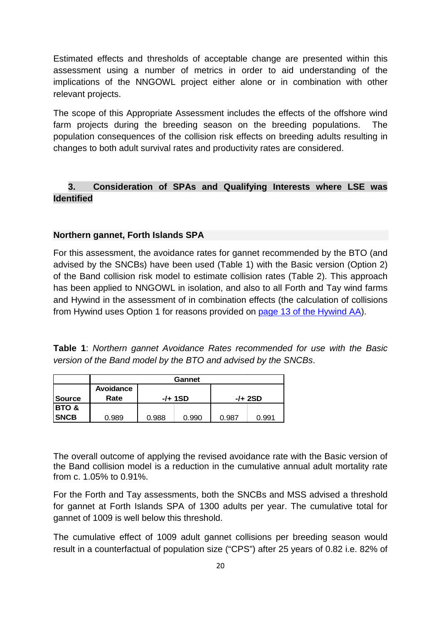Estimated effects and thresholds of acceptable change are presented within this assessment using a number of metrics in order to aid understanding of the implications of the NNGOWL project either alone or in combination with other relevant projects.

The scope of this Appropriate Assessment includes the effects of the offshore wind farm projects during the breeding season on the breeding populations. The population consequences of the collision risk effects on breeding adults resulting in changes to both adult survival rates and productivity rates are considered.

# **3. Consideration of SPAs and Qualifying Interests where LSE was Identified**

# **Northern gannet, Forth Islands SPA**

For this assessment, the avoidance rates for gannet recommended by the BTO (and advised by the SNCBs) have been used (Table 1) with the Basic version (Option 2) of the Band collision risk model to estimate collision rates (Table 2). This approach has been applied to NNGOWL in isolation, and also to all Forth and Tay wind farms and Hywind in the assessment of in combination effects (the calculation of collisions from Hywind uses Option 1 for reasons provided on [page 13 of the Hywind AA\)](http://www.gov.scot/Resource/0048/00488335.pdf).

|  |  | <b>Table 1:</b> Northern gannet Avoidance Rates recommended for use with the Basic |  |  |  |  |
|--|--|------------------------------------------------------------------------------------|--|--|--|--|
|  |  | version of the Band model by the BTO and advised by the SNCBs.                     |  |  |  |  |

|                  | Gannet    |       |         |         |       |  |  |
|------------------|-----------|-------|---------|---------|-------|--|--|
|                  | Avoidance |       |         |         |       |  |  |
| <b>Source</b>    | Rate      |       | -/+ 1SD | -/+ 2SD |       |  |  |
| <b>BTO &amp;</b> |           |       |         |         |       |  |  |
| <b>SNCB</b>      | 0.989     | 0.988 | 0.990   | 0.987   | 0.991 |  |  |

The overall outcome of applying the revised avoidance rate with the Basic version of the Band collision model is a reduction in the cumulative annual adult mortality rate from c. 1.05% to 0.91%.

For the Forth and Tay assessments, both the SNCBs and MSS advised a threshold for gannet at Forth Islands SPA of 1300 adults per year. The cumulative total for gannet of 1009 is well below this threshold.

The cumulative effect of 1009 adult gannet collisions per breeding season would result in a counterfactual of population size ("CPS") after 25 years of 0.82 i.e. 82% of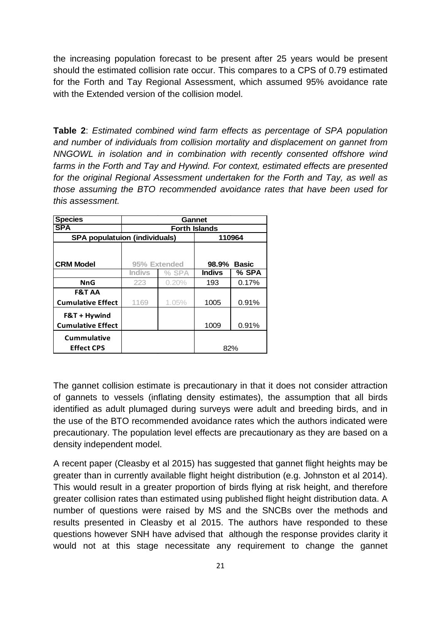the increasing population forecast to be present after 25 years would be present should the estimated collision rate occur. This compares to a CPS of 0.79 estimated for the Forth and Tay Regional Assessment, which assumed 95% avoidance rate with the Extended version of the collision model.

**Table 2**: *Estimated combined wind farm effects as percentage of SPA population and number of individuals from collision mortality and displacement on gannet from NNGOWL in isolation and in combination with recently consented offshore wind farms in the Forth and Tay and Hywind. For context, estimated effects are presented for the original Regional Assessment undertaken for the Forth and Tay, as well as those assuming the BTO recommended avoidance rates that have been used for this assessment.*

| <b>Species</b>                       | Gannet               |              |               |              |  |  |
|--------------------------------------|----------------------|--------------|---------------|--------------|--|--|
| <b>SPA</b>                           | <b>Forth Islands</b> |              |               |              |  |  |
| <b>SPA populatuion (individuals)</b> |                      |              |               | 110964       |  |  |
|                                      |                      |              |               |              |  |  |
| <b>CRM Model</b>                     |                      | 95% Extended | 98.9%         | <b>Basic</b> |  |  |
|                                      | <b>Indivs</b>        | % SPA        | <b>Indivs</b> | % SPA        |  |  |
| <b>NnG</b>                           | 223                  | 0.20%        | 193           | 0.17%        |  |  |
| <b>F&amp;T AA</b>                    |                      |              |               |              |  |  |
| <b>Cumulative Effect</b>             | 1169                 | 1.05%        | 1005          | 0.91%        |  |  |
| F&T + Hywind                         |                      |              |               |              |  |  |
| <b>Cumulative Effect</b>             |                      |              | 1009          | 0.91%        |  |  |
| <b>Cummulative</b>                   |                      |              |               |              |  |  |
| <b>Effect CPS</b>                    |                      |              |               | 82%          |  |  |

The gannet collision estimate is precautionary in that it does not consider attraction of gannets to vessels (inflating density estimates), the assumption that all birds identified as adult plumaged during surveys were adult and breeding birds, and in the use of the BTO recommended avoidance rates which the authors indicated were precautionary. The population level effects are precautionary as they are based on a density independent model.

A recent paper (Cleasby et al 2015) has suggested that gannet flight heights may be greater than in currently available flight height distribution (e.g. Johnston et al 2014). This would result in a greater proportion of birds flying at risk height, and therefore greater collision rates than estimated using published flight height distribution data. A number of questions were raised by MS and the SNCBs over the methods and results presented in Cleasby et al 2015. The authors have responded to these questions however SNH have advised that although the response provides clarity it would not at this stage necessitate any requirement to change the gannet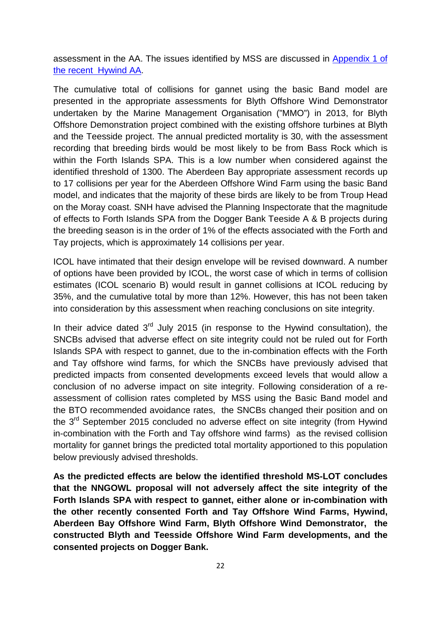assessment in the AA. The issues identified by MSS are discussed in [Appendix 1 of](http://www.gov.scot/Resource/0048/00488335.pdf)  [the recent Hywind AA.](http://www.gov.scot/Resource/0048/00488335.pdf)

The cumulative total of collisions for gannet using the basic Band model are presented in the appropriate assessments for Blyth Offshore Wind Demonstrator undertaken by the Marine Management Organisation ("MMO") in 2013, for Blyth Offshore Demonstration project combined with the existing offshore turbines at Blyth and the Teesside project. The annual predicted mortality is 30, with the assessment recording that breeding birds would be most likely to be from Bass Rock which is within the Forth Islands SPA. This is a low number when considered against the identified threshold of 1300. The Aberdeen Bay appropriate assessment records up to 17 collisions per year for the Aberdeen Offshore Wind Farm using the basic Band model, and indicates that the majority of these birds are likely to be from Troup Head on the Moray coast. SNH have advised the Planning Inspectorate that the magnitude of effects to Forth Islands SPA from the Dogger Bank Teeside A & B projects during the breeding season is in the order of 1% of the effects associated with the Forth and Tay projects, which is approximately 14 collisions per year.

ICOL have intimated that their design envelope will be revised downward. A number of options have been provided by ICOL, the worst case of which in terms of collision estimates (ICOL scenario B) would result in gannet collisions at ICOL reducing by 35%, and the cumulative total by more than 12%. However, this has not been taken into consideration by this assessment when reaching conclusions on site integrity.

In their advice dated  $3<sup>rd</sup>$  July 2015 (in response to the Hywind consultation), the SNCBs advised that adverse effect on site integrity could not be ruled out for Forth Islands SPA with respect to gannet, due to the in-combination effects with the Forth and Tay offshore wind farms, for which the SNCBs have previously advised that predicted impacts from consented developments exceed levels that would allow a conclusion of no adverse impact on site integrity. Following consideration of a reassessment of collision rates completed by MSS using the Basic Band model and the BTO recommended avoidance rates, the SNCBs changed their position and on the  $3<sup>rd</sup>$  September 2015 concluded no adverse effect on site integrity (from Hywind in-combination with the Forth and Tay offshore wind farms) as the revised collision mortality for gannet brings the predicted total mortality apportioned to this population below previously advised thresholds.

**As the predicted effects are below the identified threshold MS-LOT concludes that the NNGOWL proposal will not adversely affect the site integrity of the Forth Islands SPA with respect to gannet, either alone or in-combination with the other recently consented Forth and Tay Offshore Wind Farms, Hywind, Aberdeen Bay Offshore Wind Farm, Blyth Offshore Wind Demonstrator, the constructed Blyth and Teesside Offshore Wind Farm developments, and the consented projects on Dogger Bank.**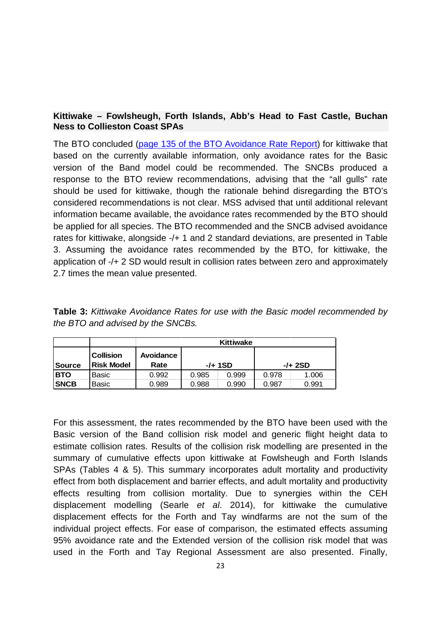# **Kittiwake – Fowlsheugh, Forth Islands, Abb's Head to Fast Castle, Buchan Ness to Collieston Coast SPAs**

The BTO concluded [\(page 135 of the BTO Avoidance Rate Report\)](http://www.gov.scot/Resource/0046/00464979.pdf) for kittiwake that based on the currently available information, only avoidance rates for the Basic version of the Band model could be recommended. The SNCBs produced a response to the BTO review recommendations, advising that the "all gulls" rate should be used for kittiwake, though the rationale behind disregarding the BTO's considered recommendations is not clear. MSS advised that until additional relevant information became available, the avoidance rates recommended by the BTO should be applied for all species. The BTO recommended and the SNCB advised avoidance rates for kittiwake, alongside -/+ 1 and 2 standard deviations, are presented in Table 3. Assuming the avoidance rates recommended by the BTO, for kittiwake, the application of -/+ 2 SD would result in collision rates between zero and approximately 2.7 times the mean value presented.

**Table 3:** *Kittiwake Avoidance Rates for use with the Basic model recommended by the BTO and advised by the SNCBs.*

|               |                                       | <b>Kittiwake</b>  |       |         |       |         |  |  |
|---------------|---------------------------------------|-------------------|-------|---------|-------|---------|--|--|
| <b>Source</b> | <b>Collision</b><br><b>Risk Model</b> | Avoidance<br>Rate |       | -/+ 1SD |       | -/+ 2SD |  |  |
| <b>BTO</b>    | Basic                                 | 0.992             | 0.985 | 0.999   | 0.978 | 1.006   |  |  |
| <b>SNCB</b>   | Basic                                 | 0.989             | 0.988 | 0.990   | 0.987 | 0.991   |  |  |

For this assessment, the rates recommended by the BTO have been used with the Basic version of the Band collision risk model and generic flight height data to estimate collision rates. Results of the collision risk modelling are presented in the summary of cumulative effects upon kittiwake at Fowlsheugh and Forth Islands SPAs (Tables 4 & 5). This summary incorporates adult mortality and productivity effect from both displacement and barrier effects, and adult mortality and productivity effects resulting from collision mortality. Due to synergies within the CEH displacement modelling (Searle *et al*. 2014), for kittiwake the cumulative displacement effects for the Forth and Tay windfarms are not the sum of the individual project effects. For ease of comparison, the estimated effects assuming 95% avoidance rate and the Extended version of the collision risk model that was used in the Forth and Tay Regional Assessment are also presented. Finally,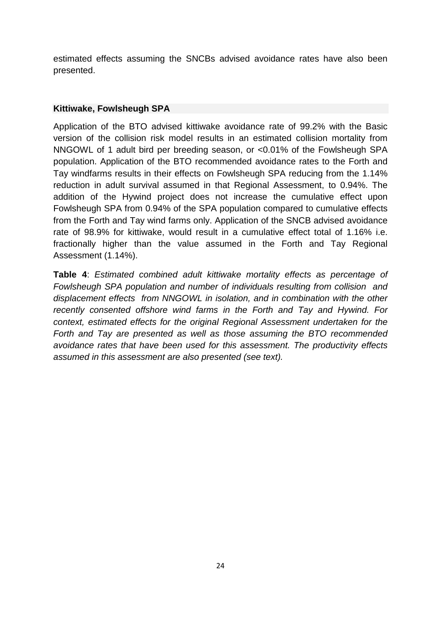estimated effects assuming the SNCBs advised avoidance rates have also been presented.

#### **Kittiwake, Fowlsheugh SPA**

Application of the BTO advised kittiwake avoidance rate of 99.2% with the Basic version of the collision risk model results in an estimated collision mortality from NNGOWL of 1 adult bird per breeding season, or <0.01% of the Fowlsheugh SPA population. Application of the BTO recommended avoidance rates to the Forth and Tay windfarms results in their effects on Fowlsheugh SPA reducing from the 1.14% reduction in adult survival assumed in that Regional Assessment, to 0.94%. The addition of the Hywind project does not increase the cumulative effect upon Fowlsheugh SPA from 0.94% of the SPA population compared to cumulative effects from the Forth and Tay wind farms only. Application of the SNCB advised avoidance rate of 98.9% for kittiwake, would result in a cumulative effect total of 1.16% i.e. fractionally higher than the value assumed in the Forth and Tay Regional Assessment (1.14%).

**Table 4**: *Estimated combined adult kittiwake mortality effects as percentage of Fowlsheugh SPA population and number of individuals resulting from collision and displacement effects from NNGOWL in isolation, and in combination with the other recently consented offshore wind farms in the Forth and Tay and Hywind. For context, estimated effects for the original Regional Assessment undertaken for the Forth and Tay are presented as well as those assuming the BTO recommended avoidance rates that have been used for this assessment. The productivity effects assumed in this assessment are also presented (see text).*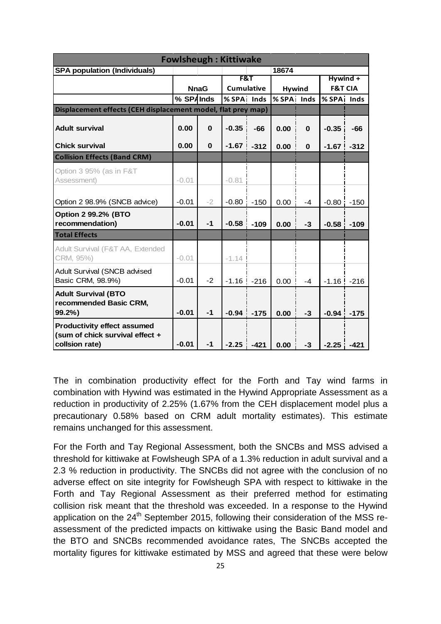|                                                                                         | <b>Fowlsheugh: Kittiwake</b> |             |            |                   |            |               |                |                    |  |
|-----------------------------------------------------------------------------------------|------------------------------|-------------|------------|-------------------|------------|---------------|----------------|--------------------|--|
| <b>SPA population (Individuals)</b>                                                     |                              |             |            |                   | 18674      |               |                |                    |  |
|                                                                                         |                              |             | F&T        |                   |            |               | $Hywind +$     |                    |  |
|                                                                                         |                              | <b>NnaG</b> |            | <b>Cumulative</b> |            | <b>Hywind</b> |                | <b>F&amp;T CIA</b> |  |
|                                                                                         | % SPA Inds                   |             | % SPA Inds |                   | % SPA Inds |               | % SPA Inds     |                    |  |
| Displacement effects (CEH displacement model, flat prey map)                            |                              |             |            |                   |            |               |                |                    |  |
| <b>Adult survival</b>                                                                   | 0.00                         | $\bf{0}$    | $-0.35$    | $-66$             | 0.00       | $\bf{0}$      | $-0.35$        | -66                |  |
| <b>Chick survival</b>                                                                   | 0.00                         | $\bf{0}$    | $-1.67$    | $-312$            | 0.00       | $\bf{0}$      | $-1.67$ $-312$ |                    |  |
| <b>Collision Effects (Band CRM)</b>                                                     |                              |             |            |                   |            |               |                |                    |  |
| Option 3 95% (as in F&T                                                                 |                              |             |            |                   |            |               |                |                    |  |
| Assessment)                                                                             | $-0.01$                      |             | $-0.81$    |                   |            |               |                |                    |  |
|                                                                                         |                              |             |            |                   |            |               |                |                    |  |
| Option 2 98.9% (SNCB advice)                                                            | $-0.01$                      | $-2$        | $-0.80$    | $-150$            | 0.00       | -4            | $-0.80$        | $-150$             |  |
| <b>Option 2 99.2% (BTO</b><br>recommendation)                                           | $-0.01$                      | $-1$        | $-0.58$    | $-109$            | 0.00       | $-3$          | $-0.58$        | $-109$             |  |
| <b>Total Effects</b>                                                                    |                              |             |            |                   |            |               |                |                    |  |
| Adult Survival (F&T AA, Extended<br>CRM, 95%)                                           | $-0.01$                      |             | $-1.14$    |                   |            |               |                |                    |  |
| Adult Survival (SNCB advised<br>Basic CRM, 98.9%)                                       | $-0.01$                      | $-2$        | $-1.16$    | $-216$            | 0.00       | $-4$          | $-1.16$        | $-216$             |  |
| <b>Adult Survival (BTO</b><br>recommended Basic CRM,<br>99.2%)                          | $-0.01$                      | $-1$        | $-0.94$    | $-175$            | 0.00       | $-3$          | $-0.94$        | $-175$             |  |
| <b>Productivity effect assumed</b><br>(sum of chick survival effect +<br>collsion rate) | $-0.01$                      | $-1$        | $-2.25$    | $-421$            | 0.00       | $-3$          | $-2.25$        | $-421$             |  |

The in combination productivity effect for the Forth and Tay wind farms in combination with Hywind was estimated in the [Hywind Appropriate Assessment](http://www.gov.scot/Resource/0048/00488335.pdf) as a reduction in productivity of 2.25% (1.67% from the CEH displacement model plus a precautionary 0.58% based on CRM adult mortality estimates). This estimate remains unchanged for this assessment.

For the Forth and Tay Regional Assessment, both the SNCBs and MSS advised a threshold for kittiwake at Fowlsheugh SPA of a 1.3% reduction in adult survival and a 2.3 % reduction in productivity. The SNCBs did not agree with the conclusion of no adverse effect on site integrity for Fowlsheugh SPA with respect to kittiwake in the Forth and Tay Regional Assessment as their preferred method for estimating collision risk meant that the threshold was exceeded. In a response to the Hywind application on the  $24<sup>th</sup>$  September 2015, following their consideration of the MSS reassessment of the predicted impacts on kittiwake using the Basic Band model and the BTO and SNCBs recommended avoidance rates, The SNCBs accepted the mortality figures for kittiwake estimated by MSS and agreed that these were below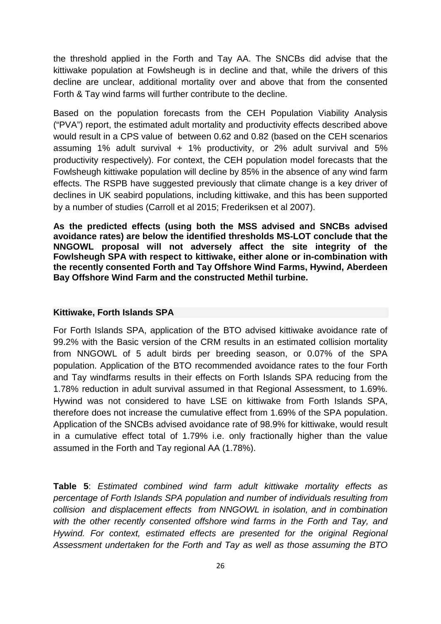the threshold applied in the Forth and Tay AA. The SNCBs did advise that the kittiwake population at Fowlsheugh is in decline and that, while the drivers of this decline are unclear, additional mortality over and above that from the consented Forth & Tay wind farms will further contribute to the decline.

Based on the population forecasts from the CEH [Population Viability Analysis](http://www.gov.scot/Topics/marine/marineenergy/Research/SeabirdsForthTay) ("PVA") report, the estimated adult mortality and productivity effects described above would result in a CPS value of between 0.62 and 0.82 (based on the CEH scenarios assuming 1% adult survival  $+$  1% productivity, or 2% adult survival and 5% productivity respectively). For context, the CEH population model forecasts that the Fowlsheugh kittiwake population will decline by 85% in the absence of any wind farm effects. The RSPB have suggested previously that climate change is a key driver of declines in UK seabird populations, including kittiwake, and this has been supported by a number of studies (Carroll et al 2015; Frederiksen et al 2007).

**As the predicted effects (using both the MSS advised and SNCBs advised avoidance rates) are below the identified thresholds MS-LOT conclude that the NNGOWL proposal will not adversely affect the site integrity of the Fowlsheugh SPA with respect to kittiwake, either alone or in-combination with the recently consented Forth and Tay Offshore Wind Farms, Hywind, Aberdeen Bay Offshore Wind Farm and the constructed Methil turbine.** 

#### **Kittiwake, Forth Islands SPA**

For Forth Islands SPA, application of the BTO advised kittiwake avoidance rate of 99.2% with the Basic version of the CRM results in an estimated collision mortality from NNGOWL of 5 adult birds per breeding season, or 0.07% of the SPA population. Application of the BTO recommended avoidance rates to the four Forth and Tay windfarms results in their effects on Forth Islands SPA reducing from the 1.78% reduction in adult survival assumed in that Regional Assessment, to 1.69%. Hywind was not considered to have LSE on kittiwake from Forth Islands SPA, therefore does not increase the cumulative effect from 1.69% of the SPA population. Application of the SNCBs advised avoidance rate of 98.9% for kittiwake, would result in a cumulative effect total of 1.79% i.e. only fractionally higher than the value assumed in the Forth and Tay regional AA (1.78%).

**Table 5**: *Estimated combined wind farm adult kittiwake mortality effects as percentage of Forth Islands SPA population and number of individuals resulting from collision and displacement effects from NNGOWL in isolation, and in combination*  with the other recently consented offshore wind farms in the Forth and Tay, and *Hywind. For context, estimated effects are presented for the original Regional Assessment undertaken for the Forth and Tay as well as those assuming the BTO*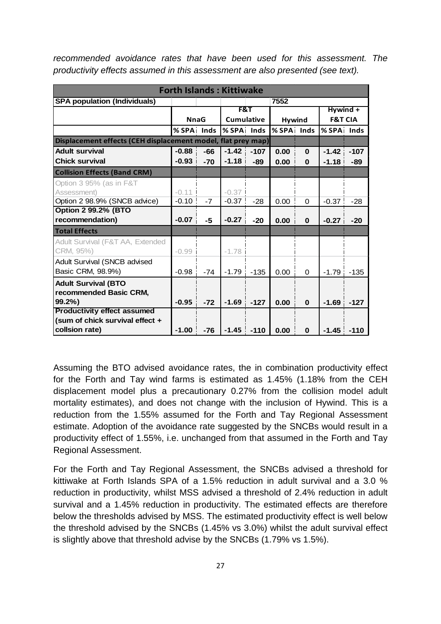| <b>Forth Islands: Kittiwake</b>                              |             |       |            |                   |            |               |                    |          |  |
|--------------------------------------------------------------|-------------|-------|------------|-------------------|------------|---------------|--------------------|----------|--|
| <b>SPA population (Individuals)</b>                          |             |       |            |                   | 7552       |               |                    |          |  |
|                                                              |             |       |            | F&T               |            |               |                    | Hywind + |  |
|                                                              | <b>NnaG</b> |       |            | <b>Cumulative</b> |            | <b>Hywind</b> | <b>F&amp;T CIA</b> |          |  |
|                                                              | % SPA Inds  |       | % SPA Inds |                   | % SPA Inds |               | % SPA Inds         |          |  |
| Displacement effects (CEH displacement model, flat prey map) |             |       |            |                   |            |               |                    |          |  |
| <b>Adult survival</b>                                        | $-0.88$     | $-66$ | $-1.42$    | $-107$            | 0.00       | $\bf{0}$      | $-1.42$            | $-107$   |  |
| <b>Chick survival</b>                                        | $-0.93$     | $-70$ | $-1.18$    | $-89$             | 0.00       | $\bf{0}$      | $-1.18$            | -89      |  |
| <b>Collision Effects (Band CRM)</b>                          |             |       |            |                   |            |               |                    |          |  |
| Option 3 95% (as in F&T                                      |             |       |            |                   |            |               |                    |          |  |
| Assessment)                                                  | $-0.11$     |       | $-0.37$    |                   |            |               |                    |          |  |
| Option 2 98.9% (SNCB advice)                                 | $-0.10$     | $-7$  | $-0.37$    | $-28$             | 0.00       | 0             | $-0.37$            | $-28$    |  |
| <b>Option 2 99.2% (BTO</b>                                   |             |       |            |                   |            |               |                    |          |  |
| recommendation)                                              | $-0.07$     | -5    | $-0.27$    | $-20$             | 0.00       | $\bf{0}$      | $-0.27$            | $-20$    |  |
| <b>Total Effects</b>                                         |             |       |            |                   |            |               |                    |          |  |
| Adult Survival (F&T AA, Extended                             |             |       |            |                   |            |               |                    |          |  |
| CRM, 95%)                                                    | $-0.99$     |       | $-1.78$    |                   |            |               |                    |          |  |
| <b>Adult Survival (SNCB advised</b>                          |             |       |            |                   |            |               |                    |          |  |
| Basic CRM, 98.9%)                                            | $-0.98$     | $-74$ | $-1.79$    | $-135$            | 0.00       | 0             | $-1.79$            | $-135$   |  |
| <b>Adult Survival (BTO</b>                                   |             |       |            |                   |            |               |                    |          |  |
| recommended Basic CRM,                                       |             |       |            |                   |            |               |                    |          |  |
| 99.2%                                                        | $-0.95$     | $-72$ | $-1.69$    | $-127$            | 0.00       | $\bf{0}$      | $-1.69$            | $-127$   |  |
| <b>Productivity effect assumed</b>                           |             |       |            |                   |            |               |                    |          |  |
| (sum of chick survival effect +                              |             |       |            |                   |            |               |                    |          |  |
| collsion rate)                                               | $-1.00$     | $-76$ | $-1.45$    | $-110$            | 0.00       | $\bf{0}$      | $-1.45$            | $-110$   |  |

*recommended avoidance rates that have been used for this assessment. The productivity effects assumed in this assessment are also presented (see text).* 

Assuming the BTO advised avoidance rates, the in combination productivity effect for the Forth and Tay wind farms is estimated as 1.45% (1.18% from the CEH displacement model plus a precautionary 0.27% from the collision model adult mortality estimates), and does not change with the inclusion of Hywind. This is a reduction from the 1.55% assumed for the Forth and Tay Regional Assessment estimate. Adoption of the avoidance rate suggested by the SNCBs would result in a productivity effect of 1.55%, i.e. unchanged from that assumed in the Forth and Tay Regional Assessment.

For the Forth and Tay Regional Assessment, the SNCBs advised a threshold for kittiwake at Forth Islands SPA of a 1.5% reduction in adult survival and a 3.0 % reduction in productivity, whilst MSS advised a threshold of 2.4% reduction in adult survival and a 1.45% reduction in productivity. The estimated effects are therefore below the thresholds advised by MSS. The estimated productivity effect is well below the threshold advised by the SNCBs (1.45% vs 3.0%) whilst the adult survival effect is slightly above that threshold advise by the SNCBs (1.79% vs 1.5%).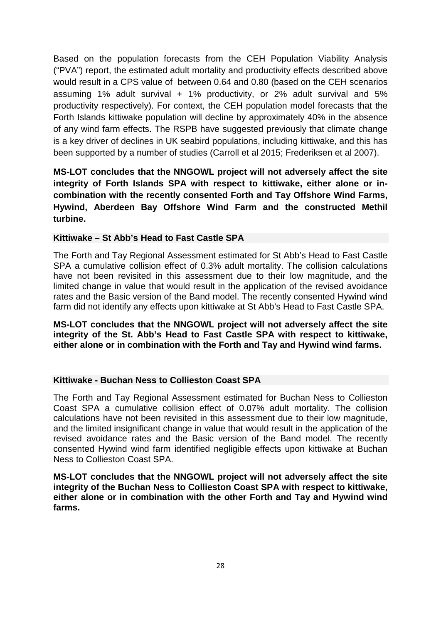Based on the population forecasts from the CEH Population Viability Analysis ("PVA") report, the estimated adult mortality and productivity effects described above would result in a CPS value of between 0.64 and 0.80 (based on the CEH scenarios assuming 1% adult survival + 1% productivity, or 2% adult survival and 5% productivity respectively). For context, the CEH population model forecasts that the Forth Islands kittiwake population will decline by approximately 40% in the absence of any wind farm effects. The RSPB have suggested previously that climate change is a key driver of declines in UK seabird populations, including kittiwake, and this has been supported by a number of studies (Carroll et al 2015; Frederiksen et al 2007).

**MS-LOT concludes that the NNGOWL project will not adversely affect the site integrity of Forth Islands SPA with respect to kittiwake, either alone or incombination with the recently consented Forth and Tay Offshore Wind Farms, Hywind, Aberdeen Bay Offshore Wind Farm and the constructed Methil turbine.** 

# **Kittiwake – St Abb's Head to Fast Castle SPA**

The Forth and Tay Regional Assessment estimated for St Abb's Head to Fast Castle SPA a cumulative collision effect of 0.3% adult mortality. The collision calculations have not been revisited in this assessment due to their low magnitude, and the limited change in value that would result in the application of the revised avoidance rates and the Basic version of the Band model. The recently consented Hywind wind farm did not identify any effects upon kittiwake at St Abb's Head to Fast Castle SPA.

**MS-LOT concludes that the NNGOWL project will not adversely affect the site integrity of the St. Abb's Head to Fast Castle SPA with respect to kittiwake, either alone or in combination with the Forth and Tay and Hywind wind farms.**

# **Kittiwake - Buchan Ness to Collieston Coast SPA**

The Forth and Tay Regional Assessment estimated for Buchan Ness to Collieston Coast SPA a cumulative collision effect of 0.07% adult mortality. The collision calculations have not been revisited in this assessment due to their low magnitude, and the limited insignificant change in value that would result in the application of the revised avoidance rates and the Basic version of the Band model. The recently consented Hywind wind farm identified negligible effects upon kittiwake at Buchan Ness to Collieston Coast SPA.

**MS-LOT concludes that the NNGOWL project will not adversely affect the site integrity of the Buchan Ness to Collieston Coast SPA with respect to kittiwake, either alone or in combination with the other Forth and Tay and Hywind wind farms.**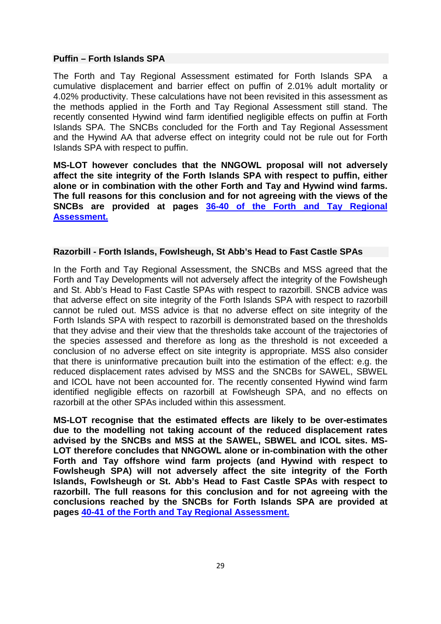#### **Puffin – Forth Islands SPA**

The Forth and Tay Regional Assessment estimated for Forth Islands SPA a cumulative displacement and barrier effect on puffin of 2.01% adult mortality or 4.02% productivity. These calculations have not been revisited in this assessment as the methods applied in the Forth and Tay Regional Assessment still stand. The recently consented Hywind wind farm identified negligible effects on puffin at Forth Islands SPA. The SNCBs concluded for the Forth and Tay Regional Assessment and the Hywind AA that adverse effect on integrity could not be rule out for Forth Islands SPA with respect to puffin.

**MS-LOT however concludes that the NNGOWL proposal will not adversely affect the site integrity of the Forth Islands SPA with respect to puffin, either alone or in combination with the other Forth and Tay and Hywind wind farms. The full reasons for this conclusion and for not agreeing with the views of the SNCBs are provided at pages [36-40 of the Forth and Tay Regional](http://www.gov.scot/Resource/0047/00470046.pdf)  [Assessment.](http://www.gov.scot/Resource/0047/00470046.pdf)**

# **Razorbill - Forth Islands, Fowlsheugh, St Abb's Head to Fast Castle SPAs**

In the Forth and Tay Regional Assessment, the SNCBs and MSS agreed that the Forth and Tay Developments will not adversely affect the integrity of the Fowlsheugh and St. Abb's Head to Fast Castle SPAs with respect to razorbill. SNCB advice was that adverse effect on site integrity of the Forth Islands SPA with respect to razorbill cannot be ruled out. MSS advice is that no adverse effect on site integrity of the Forth Islands SPA with respect to razorbill is demonstrated based on the thresholds that they advise and their view that the thresholds take account of the trajectories of the species assessed and therefore as long as the threshold is not exceeded a conclusion of no adverse effect on site integrity is appropriate. MSS also consider that there is uninformative precaution built into the estimation of the effect: e.g. the reduced displacement rates advised by MSS and the SNCBs for SAWEL, SBWEL and ICOL have not been accounted for. The recently consented Hywind wind farm identified negligible effects on razorbill at Fowlsheugh SPA, and no effects on razorbill at the other SPAs included within this assessment.

**MS-LOT recognise that the estimated effects are likely to be over-estimates due to the modelling not taking account of the reduced displacement rates advised by the SNCBs and MSS at the SAWEL, SBWEL and ICOL sites. MS-LOT therefore concludes that NNGOWL alone or in-combination with the other Forth and Tay offshore wind farm projects (and Hywind with respect to Fowlsheugh SPA) will not adversely affect the site integrity of the Forth Islands, Fowlsheugh or St. Abb's Head to Fast Castle SPAs with respect to razorbill. The full reasons for this conclusion and for not agreeing with the conclusions reached by the SNCBs for Forth Islands SPA are provided at pages [40-41 of the Forth and Tay Regional Assessment.](http://www.gov.scot/Resource/0047/00470046.pdf)**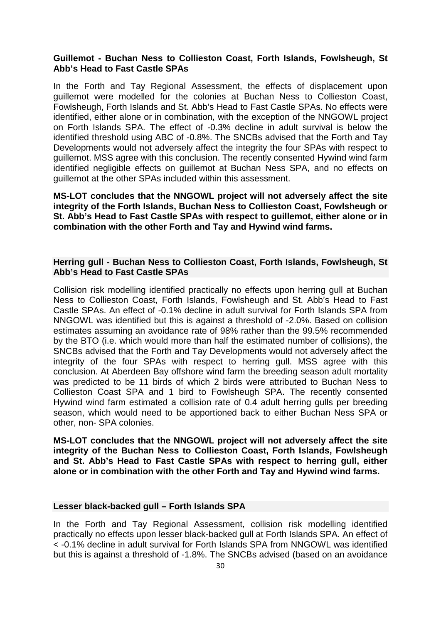#### **Guillemot - Buchan Ness to Collieston Coast, Forth Islands, Fowlsheugh, St Abb's Head to Fast Castle SPAs**

In the Forth and Tay Regional Assessment, the effects of displacement upon guillemot were modelled for the colonies at Buchan Ness to Collieston Coast, Fowlsheugh, Forth Islands and St. Abb's Head to Fast Castle SPAs. No effects were identified, either alone or in combination, with the exception of the NNGOWL project on Forth Islands SPA. The effect of -0.3% decline in adult survival is below the identified threshold using ABC of -0.8%. The SNCBs advised that the Forth and Tay Developments would not adversely affect the integrity the four SPAs with respect to guillemot. MSS agree with this conclusion. The recently consented Hywind wind farm identified negligible effects on guillemot at Buchan Ness SPA, and no effects on guillemot at the other SPAs included within this assessment.

**MS-LOT concludes that the NNGOWL project will not adversely affect the site integrity of the Forth Islands, Buchan Ness to Collieston Coast, Fowlsheugh or St. Abb's Head to Fast Castle SPAs with respect to guillemot, either alone or in combination with the other Forth and Tay and Hywind wind farms.**

#### **Herring gull - Buchan Ness to Collieston Coast, Forth Islands, Fowlsheugh, St Abb's Head to Fast Castle SPAs**

Collision risk modelling identified practically no effects upon herring gull at Buchan Ness to Collieston Coast, Forth Islands, Fowlsheugh and St. Abb's Head to Fast Castle SPAs. An effect of -0.1% decline in adult survival for Forth Islands SPA from NNGOWL was identified but this is against a threshold of -2.0%. Based on collision estimates assuming an avoidance rate of 98% rather than the 99.5% recommended by the BTO (i.e. which would more than half the estimated number of collisions), the SNCBs advised that the Forth and Tay Developments would not adversely affect the integrity of the four SPAs with respect to herring gull. MSS agree with this conclusion. At Aberdeen Bay offshore wind farm the breeding season adult mortality was predicted to be 11 birds of which 2 birds were attributed to Buchan Ness to Collieston Coast SPA and 1 bird to Fowlsheugh SPA. The recently consented Hywind wind farm estimated a collision rate of 0.4 adult herring gulls per breeding season, which would need to be apportioned back to either Buchan Ness SPA or other, non- SPA colonies.

**MS-LOT concludes that the NNGOWL project will not adversely affect the site integrity of the Buchan Ness to Collieston Coast, Forth Islands, Fowlsheugh and St. Abb's Head to Fast Castle SPAs with respect to herring gull, either alone or in combination with the other Forth and Tay and Hywind wind farms.**

#### **Lesser black-backed gull – Forth Islands SPA**

In the Forth and Tay Regional Assessment, collision risk modelling identified practically no effects upon lesser black-backed gull at Forth Islands SPA. An effect of < -0.1% decline in adult survival for Forth Islands SPA from NNGOWL was identified but this is against a threshold of -1.8%. The SNCBs advised (based on an avoidance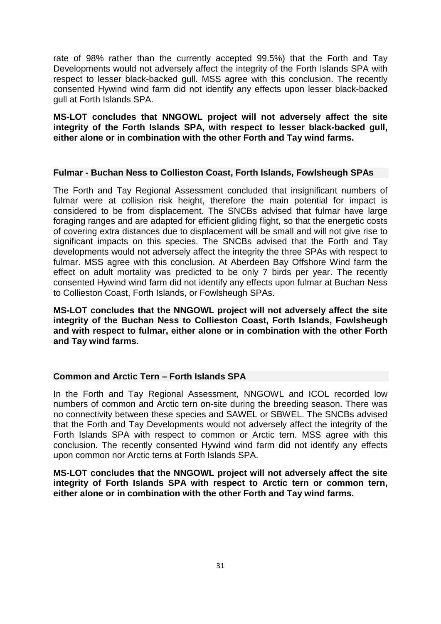rate of 98% rather than the currently accepted 99.5%) that the Forth and Tay Developments would not adversely affect the integrity of the Forth Islands SPA with respect to lesser black-backed gull. MSS agree with this conclusion. The recently consented Hywind wind farm did not identify any effects upon lesser black-backed gull at Forth Islands SPA.

**MS-LOT concludes that NNGOWL project will not adversely affect the site integrity of the Forth Islands SPA, with respect to lesser black-backed gull, either alone or in combination with the other Forth and Tay wind farms.**

#### **Fulmar - Buchan Ness to Collieston Coast, Forth Islands, Fowlsheugh SPAs**

The Forth and Tay Regional Assessment concluded that insignificant numbers of fulmar were at collision risk height, therefore the main potential for impact is considered to be from displacement. The SNCBs advised that fulmar have large foraging ranges and are adapted for efficient gliding flight, so that the energetic costs of covering extra distances due to displacement will be small and will not give rise to significant impacts on this species. The SNCBs advised that the Forth and Tay developments would not adversely affect the integrity the three SPAs with respect to fulmar. MSS agree with this conclusion. At Aberdeen Bay Offshore Wind farm the effect on adult mortality was predicted to be only 7 birds per year. The recently consented Hywind wind farm did not identify any effects upon fulmar at Buchan Ness to Collieston Coast, Forth Islands, or Fowlsheugh SPAs.

**MS-LOT concludes that the NNGOWL project will not adversely affect the site integrity of the Buchan Ness to Collieston Coast, Forth Islands, Fowlsheugh and with respect to fulmar, either alone or in combination with the other Forth and Tay wind farms.**

#### **Common and Arctic Tern – Forth Islands SPA**

In the Forth and Tay Regional Assessment, NNGOWL and ICOL recorded low numbers of common and Arctic tern on-site during the breeding season. There was no connectivity between these species and SAWEL or SBWEL. The SNCBs advised that the Forth and Tay Developments would not adversely affect the integrity of the Forth Islands SPA with respect to common or Arctic tern. MSS agree with this conclusion. The recently consented Hywind wind farm did not identify any effects upon common nor Arctic terns at Forth Islands SPA.

**MS-LOT concludes that the NNGOWL project will not adversely affect the site integrity of Forth Islands SPA with respect to Arctic tern or common tern, either alone or in combination with the other Forth and Tay wind farms.**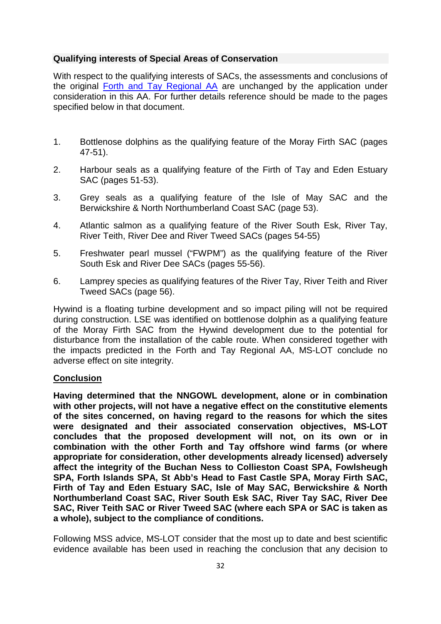# **Qualifying interests of Special Areas of Conservation**

With respect to the qualifying interests of SACs, the assessments and conclusions of the original [Forth and Tay Regional AA](http://www.gov.scot/Resource/0047/00470046.pdfhttp:/www.gov.scot/Resource/0047/00470046.pdf) are unchanged by the application under consideration in this AA. For further details reference should be made to the pages specified below in that document.

- 1. Bottlenose dolphins as the qualifying feature of the Moray Firth SAC (pages 47-51).
- 2. Harbour seals as a qualifying feature of the Firth of Tay and Eden Estuary SAC (pages 51-53).
- 3. Grey seals as a qualifying feature of the Isle of May SAC and the Berwickshire & North Northumberland Coast SAC (page 53).
- 4. Atlantic salmon as a qualifying feature of the River South Esk, River Tay, River Teith, River Dee and River Tweed SACs (pages 54-55)
- 5. Freshwater pearl mussel ("FWPM") as the qualifying feature of the River South Esk and River Dee SACs (pages 55-56).
- 6. Lamprey species as qualifying features of the River Tay, River Teith and River Tweed SACs (page 56).

Hywind is a floating turbine development and so impact piling will not be required during construction. LSE was identified on bottlenose dolphin as a qualifying feature of the Moray Firth SAC from the Hywind development due to the potential for disturbance from the installation of the cable route. When considered together with the impacts predicted in the Forth and Tay Regional AA, MS-LOT conclude no adverse effect on site integrity.

# **Conclusion**

**Having determined that the NNGOWL development, alone or in combination with other projects, will not have a negative effect on the constitutive elements of the sites concerned, on having regard to the reasons for which the sites were designated and their associated conservation objectives, MS-LOT concludes that the proposed development will not, on its own or in combination with the other Forth and Tay offshore wind farms (or where appropriate for consideration, other developments already licensed) adversely affect the integrity of the Buchan Ness to Collieston Coast SPA, Fowlsheugh SPA, Forth Islands SPA, St Abb's Head to Fast Castle SPA, Moray Firth SAC, Firth of Tay and Eden Estuary SAC, Isle of May SAC, Berwickshire & North Northumberland Coast SAC, River South Esk SAC, River Tay SAC, River Dee SAC, River Teith SAC or River Tweed SAC (where each SPA or SAC is taken as a whole), subject to the compliance of conditions.** 

Following MSS advice, MS-LOT consider that the most up to date and best scientific evidence available has been used in reaching the conclusion that any decision to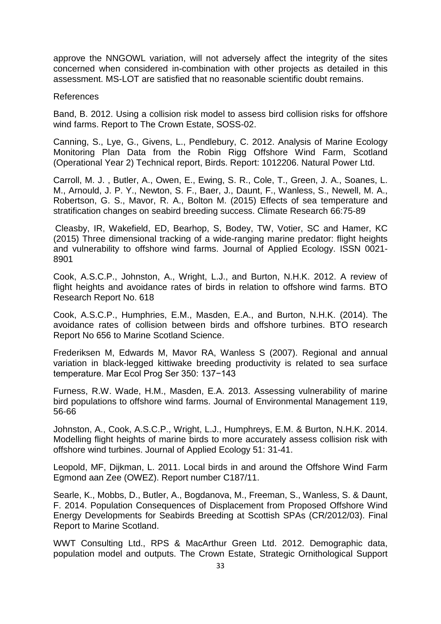approve the NNGOWL variation, will not adversely affect the integrity of the sites concerned when considered in-combination with other projects as detailed in this assessment. MS-LOT are satisfied that no reasonable scientific doubt remains.

#### References

Band, B. 2012. Using a collision risk model to assess bird collision risks for offshore wind farms. Report to The Crown Estate, SOSS-02.

Canning, S., Lye, G., Givens, L., Pendlebury, C. 2012. Analysis of Marine Ecology Monitoring Plan Data from the Robin Rigg Offshore Wind Farm, Scotland (Operational Year 2) Technical report, Birds. Report: 1012206. Natural Power Ltd.

Carroll, M. J. , Butler, A., Owen, E., Ewing, S. R., Cole, T., Green, J. A., Soanes, L. M., Arnould, J. P. Y., Newton, S. F., Baer, J., Daunt, F., Wanless, S., Newell, M. A., Robertson, G. S., Mavor, R. A., Bolton M. (2015) Effects of sea temperature and stratification changes on seabird breeding success. Climate Research 66:75-89

Cleasby, IR, Wakefield, ED, Bearhop, S, Bodey, TW, Votier, SC and Hamer, KC (2015) Three dimensional tracking of a wide-ranging marine predator: flight heights and vulnerability to offshore wind farms. Journal of Applied Ecology. ISSN 0021- 8901

Cook, A.S.C.P., Johnston, A., Wright, L.J., and Burton, N.H.K. 2012. A review of flight heights and avoidance rates of birds in relation to offshore wind farms. BTO Research Report No. 618

Cook, A.S.C.P., Humphries, E.M., Masden, E.A., and Burton, N.H.K. (2014). The avoidance rates of collision between birds and offshore turbines. BTO research Report No 656 to Marine Scotland Science.

Frederiksen M, Edwards M, Mavor RA, Wanless S (2007). Regional and annual variation in black-legged kittiwake breeding productivity is related to sea surface temperature. Mar Ecol Prog Ser 350: 137−143

Furness, R.W. Wade, H.M., Masden, E.A. 2013. Assessing vulnerability of marine bird populations to offshore wind farms. Journal of Environmental Management 119, 56-66

Johnston, A., Cook, A.S.C.P., Wright, L.J., Humphreys, E.M. & Burton, N.H.K. 2014. Modelling flight heights of marine birds to more accurately assess collision risk with offshore wind turbines. Journal of Applied Ecology 51: 31-41.

Leopold, MF, Dijkman, L. 2011. Local birds in and around the Offshore Wind Farm Egmond aan Zee (OWEZ). Report number C187/11.

Searle, K., Mobbs, D., Butler, A., Bogdanova, M., Freeman, S., Wanless, S. & Daunt, F. 2014. Population Consequences of Displacement from Proposed Offshore Wind Energy Developments for Seabirds Breeding at Scottish SPAs (CR/2012/03). Final Report to Marine Scotland.

WWT Consulting Ltd., RPS & MacArthur Green Ltd. 2012. Demographic data, population model and outputs. The Crown Estate, Strategic Ornithological Support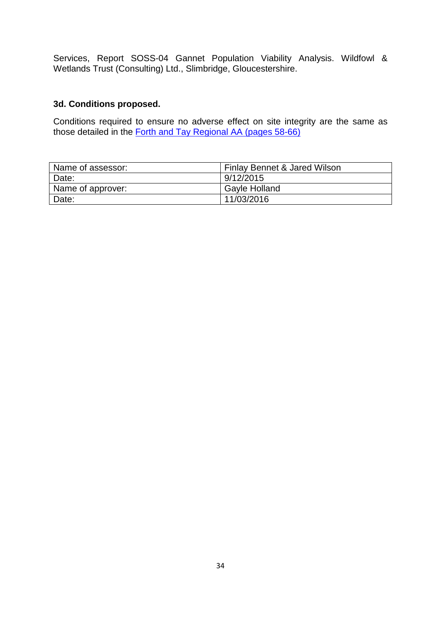Services, Report SOSS-04 Gannet Population Viability Analysis. Wildfowl & Wetlands Trust (Consulting) Ltd., Slimbridge, Gloucestershire.

# **3d. Conditions proposed.**

Conditions required to ensure no adverse effect on site integrity are the same as those detailed in the [Forth and Tay Regional AA \(pages 58-66\)](http://www.gov.scot/Resource/0047/00470046.pdf)

| Name of assessor: | Finlay Bennet & Jared Wilson |
|-------------------|------------------------------|
| Date:             | 9/12/2015                    |
| Name of approver: | Gayle Holland                |
| Date:             | 11/03/2016                   |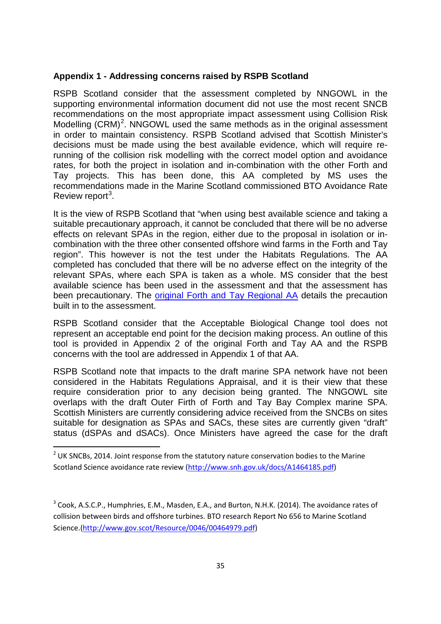#### **Appendix 1 - Addressing concerns raised by RSPB Scotland**

RSPB Scotland consider that the assessment completed by NNGOWL in the supporting environmental information document did not use the most recent SNCB recommendations on the most appropriate impact assessment using Collision Risk Modelling  $(CRM)^2$  $(CRM)^2$ . NNGOWL used the same methods as in the original assessment in order to maintain consistency. RSPB Scotland advised that Scottish Minister's decisions must be made using the best available evidence, which will require rerunning of the collision risk modelling with the correct model option and avoidance rates, for both the project in isolation and in-combination with the other Forth and Tay projects. This has been done, this AA completed by MS uses the recommendations made in the Marine Scotland commissioned BTO Avoidance Rate Review report<sup>[3](#page-34-0)</sup>.

It is the view of RSPB Scotland that "when using best available science and taking a suitable precautionary approach, it cannot be concluded that there will be no adverse effects on relevant SPAs in the region, either due to the proposal in isolation or incombination with the three other consented offshore wind farms in the Forth and Tay region". This however is not the test under the Habitats Regulations. The AA completed has concluded that there will be no adverse effect on the integrity of the relevant SPAs, where each SPA is taken as a whole. MS consider that the best available science has been used in the assessment and that the assessment has been precautionary. The [original Forth and Tay Regional AA](http://www.gov.scot/Resource/0047/00470046.pdfhttp:/www.gov.scot/Resource/0047/00470046.pdf) details the precaution built in to the assessment.

RSPB Scotland consider that the Acceptable Biological Change tool does not represent an acceptable end point for the decision making process. An outline of this tool is provided in Appendix 2 of the original Forth and Tay AA and the RSPB concerns with the tool are addressed in Appendix 1 of that AA.

RSPB Scotland note that impacts to the draft marine SPA network have not been considered in the Habitats Regulations Appraisal, and it is their view that these require consideration prior to any decision being granted. The NNGOWL site overlaps with the draft Outer Firth of Forth and Tay Bay Complex marine SPA. Scottish Ministers are currently considering advice received from the SNCBs on sites suitable for designation as SPAs and SACs, these sites are currently given "draft" status (dSPAs and dSACs). Once Ministers have agreed the case for the draft

 $2$  UK SNCBs, 2014. Joint response from the statutory nature conservation bodies to the Marine Scotland Science avoidance rate review [\(http://www.snh.gov.uk/docs/A1464185.pdf\)](http://www.snh.gov.uk/docs/A1464185.pdf)

<span id="page-34-1"></span><span id="page-34-0"></span><sup>&</sup>lt;sup>3</sup> Cook, A.S.C.P., Humphries, E.M., Masden, E.A., and Burton, N.H.K. (2014). The avoidance rates of collision between birds and offshore turbines. BTO research Report No 656 to Marine Scotland Science.[\(http://www.gov.scot/Resource/0046/00464979.pdf\)](http://www.gov.scot/Resource/0046/00464979.pdf)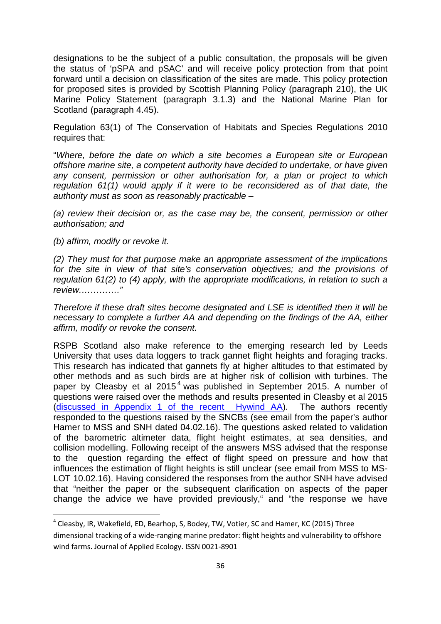designations to be the subject of a public consultation, the proposals will be given the status of 'pSPA and pSAC' and will receive policy protection from that point forward until a decision on classification of the sites are made. This policy protection for proposed sites is provided by Scottish Planning Policy (paragraph 210), the UK Marine Policy Statement (paragraph 3.1.3) and the National Marine Plan for Scotland (paragraph 4.45).

Regulation 63(1) of The Conservation of Habitats and Species Regulations 2010 requires that:

"*Where, before the date on which a site becomes a European site or European offshore marine site, a competent authority have decided to undertake, or have given any consent, permission or other authorisation for, a plan or project to which regulation 61(1) would apply if it were to be reconsidered as of that date, the authority must as soon as reasonably practicable –*

*(a) review their decision or, as the case may be, the consent, permission or other authorisation; and*

*(b) affirm, modify or revoke it.*

*(2) They must for that purpose make an appropriate assessment of the implications for the site in view of that site's conservation objectives; and the provisions of regulation 61(2) to (4) apply, with the appropriate modifications, in relation to such a review.…………."*

*Therefore if these draft sites become designated and LSE is identified then it will be necessary to complete a further AA and depending on the findings of the AA, either affirm, modify or revoke the consent.*

RSPB Scotland also make reference to the emerging research led by Leeds University that uses data loggers to track gannet flight heights and foraging tracks. This research has indicated that gannets fly at higher altitudes to that estimated by other methods and as such birds are at higher risk of collision with turbines. The paper by Cleasby et al  $2015<sup>4</sup>$  $2015<sup>4</sup>$  $2015<sup>4</sup>$  was published in September 2015. A number of questions were raised over the methods and results presented in Cleasby et al 2015 [\(discussed in Appendix 1 of the recent Hywind AA\)](http://www.gov.scot/Resource/0048/00488335.pdf). The authors recently responded to the questions raised by the SNCBs (see email from the paper's author Hamer to MSS and SNH dated 04.02.16). The questions asked related to validation of the barometric altimeter data, flight height estimates, at sea densities, and collision modelling. Following receipt of the answers MSS advised that the response to the question regarding the effect of flight speed on pressure and how that influences the estimation of flight heights is still unclear (see email from MSS to MS-LOT 10.02.16). Having considered the responses from the author SNH have advised that "neither the paper or the subsequent clarification on aspects of the paper change the advice we have provided previously," and "the response we have

 <sup>4</sup> Cleasby, IR, Wakefield, ED, Bearhop, S, Bodey, TW, Votier, SC and Hamer, KC (2015) Three dimensional tracking of a wide-ranging marine predator: flight heights and vulnerability to offshore wind farms. Journal of Applied Ecology. ISSN 0021-8901